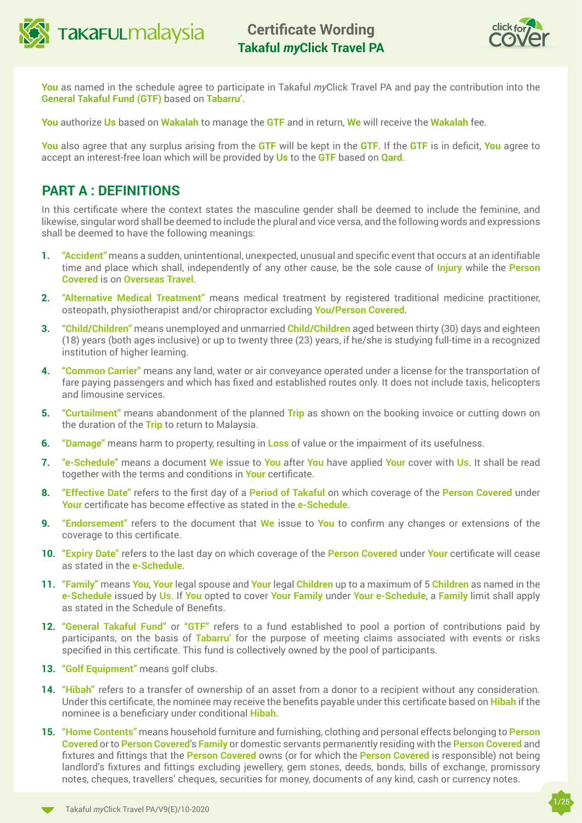



**You** as named in the schedule agree to participate in Takaful *my*Click Travel PA and pay the contribution into the **General Takaful Fund (GTF)** based on **Tabarru'**.

**You** authorize **Us** based on **Wakalah** to manage the **GTF** and in return, **We** will receive the **Wakalah** fee.

**You** also agree that any surplus arising from the **GTF** will be kept in the **GTF**. If the **GTF** is in deficit, **You** agree to accept an interest-free loan which will be provided by **Us** to the **GTF** based on **Qard**.

## **PART A : DEFINITIONS**

In this certificate where the context states the masculine gender shall be deemed to include the feminine, and likewise, singular word shall be deemed to include the plural and vice versa, and the following words and expressions shall be deemed to have the following meanings:

- **1. "Accident"** means a sudden, unintentional, unexpected, unusual and specific event that occurs at an identifiable time and place which shall, independently of any other cause, be the sole cause of **Injury** while the **Person Covered** is on **Overseas Travel**.
- **2. "Alternative Medical Treatment"** means medical treatment by registered traditional medicine practitioner, osteopath, physiotherapist and/or chiropractor excluding **You/Person Covered**.
- **3. "Child/Children"** means unemployed and unmarried **Child/Children** aged between thirty (30) days and eighteen (18) years (both ages inclusive) or up to twenty three (23) years, if he/she is studying full-time in a recognized institution of higher learning.
- **4. "Common Carrier"** means any land, water or air conveyance operated under a license for the transportation of fare paying passengers and which has fixed and established routes only. It does not include taxis, helicopters and limousine services.
- **5. "Curtailment"** means abandonment of the planned **Trip** as shown on the booking invoice or cutting down on the duration of the **Trip** to return to Malaysia.
- **6. "Damage"** means harm to property, resulting in **Loss** of value or the impairment of its usefulness.
- **7. "e-Schedule"** means a document **We** issue to **You** after **You** have applied **Your** cover with **Us**. It shall be read together with the terms and conditions in **Your** certificate.
- **8. "Effective Date"** refers to the first day of a **Period of Takaful** on which coverage of the **Person Covered** under **Your** certificate has become effective as stated in the **e-Schedule**.
- **9. "Endorsement"** refers to the document that **We** issue to **You** to confirm any changes or extensions of the coverage to this certificate.
- **10. "Expiry Date"** refers to the last day on which coverage of the **Person Covered** under **Your** certificate will cease as stated in the **e-Schedule**.
- **11. "Family"** means **You**, **Your** legal spouse and **Your** legal **Children** up to a maximum of 5 **Children** as named in the **e-Schedule** issued by **Us**. If **You** opted to cover **Your Family** under **Your e-Schedule**, a **Family** limit shall apply as stated in the Schedule of Benefits.
- **12. "General Takaful Fund"** or **"GTF"** refers to a fund established to pool a portion of contributions paid by participants, on the basis of **Tabarru'** for the purpose of meeting claims associated with events or risks specified in this certificate. This fund is collectively owned by the pool of participants.
- **13. "Golf Equipment"** means golf clubs.
- **14. "Hibah"** refers to a transfer of ownership of an asset from a donor to a recipient without any consideration. Under this certificate, the nominee may receive the benefits payable under this certificate based on **Hibah** if the nominee is a beneficiary under conditional **Hibah**.
- **15. "Home Contents"** means household furniture and furnishing, clothing and personal effects belonging to **Person Covered** or to **Person Covered**'s **Family** or domestic servants permanently residing with the **Person Covered** and fixtures and fittings that the **Person Covered** owns (or for which the **Person Covered** is responsible) not being landlord's fixtures and fittings excluding jewellery, gem stones, deeds, bonds, bills of exchange, promissory notes, cheques, travellers' cheques, securities for money, documents of any kind, cash or currency notes.

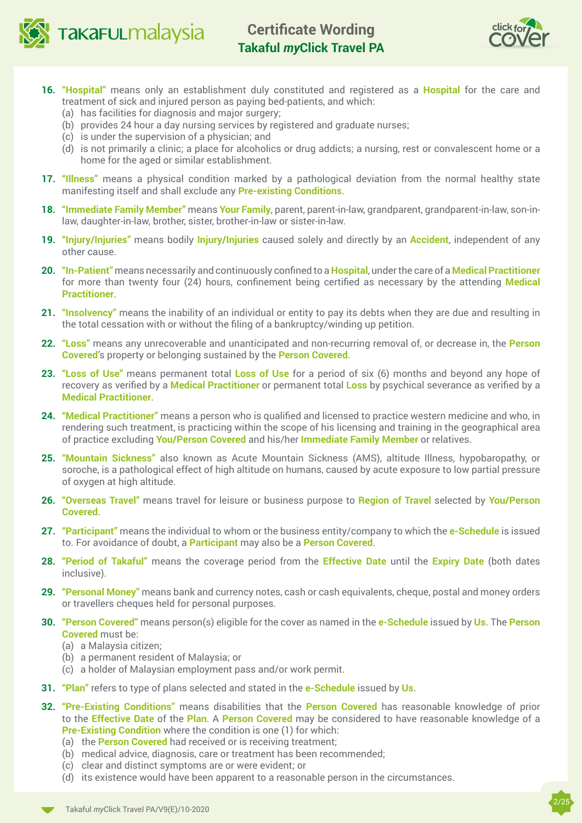

**TakaFULmalaysia** 



- **16. "Hospital"** means only an establishment duly constituted and registered as a **Hospital** for the care and treatment of sick and injured person as paying bed-patients, and which:
	- (a) has facilities for diagnosis and major surgery;
	- (b) provides 24 hour a day nursing services by registered and graduate nurses;
	- (c) is under the supervision of a physician; and
	- (d) is not primarily a clinic; a place for alcoholics or drug addicts; a nursing, rest or convalescent home or a home for the aged or similar establishment.
- **17. "Illness"** means a physical condition marked by a pathological deviation from the normal healthy state manifesting itself and shall exclude any **Pre-existing Conditions**.
- **18. "Immediate Family Member"** means **Your Family**, parent, parent-in-law, grandparent, grandparent-in-law, son-inlaw, daughter-in-law, brother, sister, brother-in-law or sister-in-law.
- **19. "Injury/Injuries"** means bodily **Injury/Injuries** caused solely and directly by an **Accident**, independent of any other cause.
- **20. "In-Patient"** means necessarily and continuously confined to a **Hospital**, under the care of a **Medical Practitioner** for more than twenty four (24) hours, confinement being certified as necessary by the attending **Medical Practitioner**.
- **21. "Insolvency"** means the inability of an individual or entity to pay its debts when they are due and resulting in the total cessation with or without the filing of a bankruptcy/winding up petition.
- **22. "Loss"** means any unrecoverable and unanticipated and non-recurring removal of, or decrease in, the **Person Covered**'s property or belonging sustained by the **Person Covered**.
- **23. "Loss of Use"** means permanent total **Loss of Use** for a period of six (6) months and beyond any hope of recovery as verified by a **Medical Practitioner** or permanent total **Loss** by psychical severance as verified by a **Medical Practitioner**.
- **24. "Medical Practitioner"** means a person who is qualified and licensed to practice western medicine and who, in rendering such treatment, is practicing within the scope of his licensing and training in the geographical area of practice excluding **You/Person Covered** and his/her **Immediate Family Member** or relatives.
- **25. "Mountain Sickness"** also known as Acute Mountain Sickness (AMS), altitude Illness, hypobaropathy, or soroche, is a pathological effect of high altitude on humans, caused by acute exposure to low partial pressure of oxygen at high altitude.
- **26. "Overseas Travel"** means travel for leisure or business purpose to **Region of Travel** selected by **You/Person Covered**.
- **27. "Participant"** means the individual to whom or the business entity/company to which the **e-Schedule** is issued to. For avoidance of doubt, a **Participant** may also be a **Person Covered**.
- **28. "Period of Takaful"** means the coverage period from the **Effective Date** until the **Expiry Date** (both dates inclusive).
- **29. "Personal Money"** means bank and currency notes, cash or cash equivalents, cheque, postal and money orders or travellers cheques held for personal purposes.
- **30. "Person Covered"** means person(s) eligible for the cover as named in the **e-Schedule** issued by **Us**. The **Person Covered** must be:
	- (a) a Malaysia citizen;
	- (b) a permanent resident of Malaysia; or
	- (c) a holder of Malaysian employment pass and/or work permit.
- **31. "Plan"** refers to type of plans selected and stated in the **e-Schedule** issued by **Us**.
- **32. "Pre-Existing Conditions"** means disabilities that the **Person Covered** has reasonable knowledge of prior to the **Effective Date** of the **Plan**. A **Person Covered** may be considered to have reasonable knowledge of a **Pre-Existing Condition** where the condition is one (1) for which:
	- (a) the **Person Covered** had received or is receiving treatment;
	- (b) medical advice, diagnosis, care or treatment has been recommended;
	- (c) clear and distinct symptoms are or were evident; or
	- (d) its existence would have been apparent to a reasonable person in the circumstances.

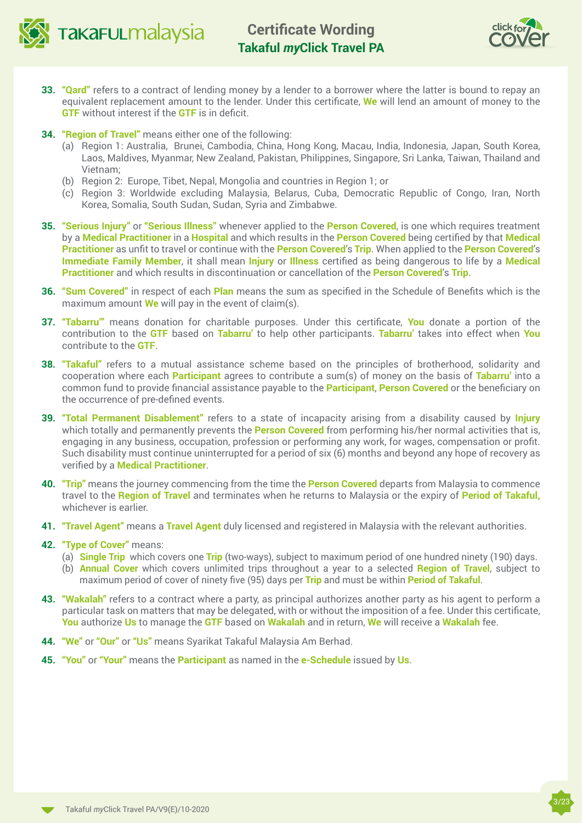



3/23

- **33. "Qard"** refers to a contract of lending money by a lender to a borrower where the latter is bound to repay an equivalent replacement amount to the lender. Under this certificate, **We** will lend an amount of money to the **GTF** without interest if the **GTF** is in deficit.
- **34. "Region of Travel"** means either one of the following:
	- (a) Region 1: Australia, Brunei, Cambodia, China, Hong Kong, Macau, India, Indonesia, Japan, South Korea, Laos, Maldives, Myanmar, New Zealand, Pakistan, Philippines, Singapore, Sri Lanka, Taiwan, Thailand and Vietnam;
	- (b) Region 2: Europe, Tibet, Nepal, Mongolia and countries in Region 1; or
	- (c) Region 3: Worldwide excluding Malaysia, Belarus, Cuba, Democratic Republic of Congo, Iran, North Korea, Somalia, South Sudan, Sudan, Syria and Zimbabwe.
- **35. "Serious Injury"** or **"Serious Illness"** whenever applied to the **Person Covered**, is one which requires treatment by a **Medical Practitioner** in a **Hospital** and which results in the **Person Covered** being certified by that **Medical Practitioner** as unfit to travel or continue with the **Person Covered**'s **Trip**. When applied to the **Person Covered**'s **Immediate Family Member**, it shall mean **Injury** or **Illness** certified as being dangerous to life by a **Medical Practitioner** and which results in discontinuation or cancellation of the **Person Covered**'s **Trip**.
- **36. "Sum Covered"** in respect of each **Plan** means the sum as specified in the Schedule of Benefits which is the maximum amount **We** will pay in the event of claim(s).
- **37. "Tabarru'"** means donation for charitable purposes. Under this certificate, **You** donate a portion of the contribution to the **GTF** based on **Tabarru'** to help other participants. **Tabarru'** takes into effect when **You**  contribute to the **GTF**.
- **38. "Takaful"** refers to a mutual assistance scheme based on the principles of brotherhood, solidarity and cooperation where each **Participant** agrees to contribute a sum(s) of money on the basis of **Tabarru'** into a common fund to provide financial assistance payable to the **Participant**, **Person Covered** or the beneficiary on the occurrence of pre-defined events.
- **39. "Total Permanent Disablement"** refers to a state of incapacity arising from a disability caused by **Injury** which totally and permanently prevents the **Person Covered** from performing his/her normal activities that is, engaging in any business, occupation, profession or performing any work, for wages, compensation or profit. Such disability must continue uninterrupted for a period of six (6) months and beyond any hope of recovery as verified by a **Medical Practitioner**.
- **40. "Trip"** means the journey commencing from the time the **Person Covered** departs from Malaysia to commence travel to the **Region of Travel** and terminates when he returns to Malaysia or the expiry of **Period of Takaful,** whichever is earlier.
- **41. "Travel Agent"** means a **Travel Agent** duly licensed and registered in Malaysia with the relevant authorities.
- **42. "Type of Cover"** means:
	- (a) **Single Trip** which covers one **Trip** (two-ways), subject to maximum period of one hundred ninety (190) days.
	- (b) **Annual Cover** which covers unlimited trips throughout a year to a selected **Region of Travel**, subject to maximum period of cover of ninety five (95) days per **Trip** and must be within **Period of Takaful**.
- **43. "Wakalah"** refers to a contract where a party, as principal authorizes another party as his agent to perform a particular task on matters that may be delegated, with or without the imposition of a fee. Under this certificate, **You** authorize **Us** to manage the **GTF** based on **Wakalah** and in return, **We** will receive a **Wakalah** fee.
- **44. "We"** or **"Our"** or **"Us"** means Syarikat Takaful Malaysia Am Berhad.
- **45. "You"** or **"Your"** means the **Participant** as named in the **e-Schedule** issued by **Us**.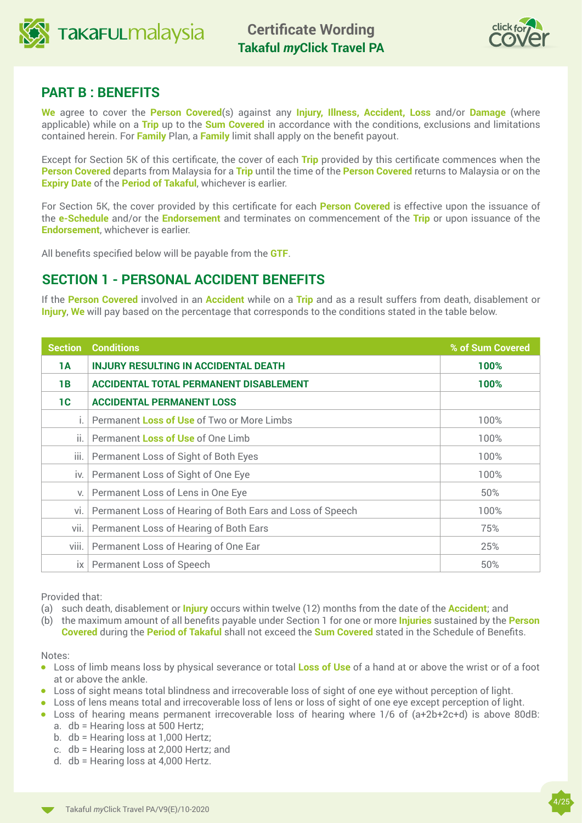



## **PART B : BENEFITS**

**We** agree to cover the **Person Covered**(s) against any **Injury, Illness, Accident, Loss** and/or **Damage** (where applicable) while on a **Trip** up to the **Sum Covered** in accordance with the conditions, exclusions and limitations contained herein. For **Family** Plan, a **Family** limit shall apply on the benefit payout.

Except for Section 5K of this certificate, the cover of each **Trip** provided by this certificate commences when the **Person Covered** departs from Malaysia for a **Trip** until the time of the **Person Covered** returns to Malaysia or on the **Expiry Date** of the **Period of Takaful**, whichever is earlier.

For Section 5K, the cover provided by this certificate for each **Person Covered** is effective upon the issuance of the **e-Schedule** and/or the **Endorsement** and terminates on commencement of the **Trip** or upon issuance of the **Endorsement**, whichever is earlier.

All benefits specified below will be payable from the **GTF**.

## **SECTION 1 - PERSONAL ACCIDENT BENEFITS**

If the **Person Covered** involved in an **Accident** while on a **Trip** and as a result suffers from death, disablement or **Injury**, **We** will pay based on the percentage that corresponds to the conditions stated in the table below.

| <b>Section</b> | <b>Conditions</b>                                         | % of Sum Covered |
|----------------|-----------------------------------------------------------|------------------|
| 1A             | <b>INJURY RESULTING IN ACCIDENTAL DEATH</b><br>100%       |                  |
| 1B             | <b>ACCIDENTAL TOTAL PERMANENT DISABLEMENT</b><br>100%     |                  |
| 1C             | <b>ACCIDENTAL PERMANENT LOSS</b>                          |                  |
|                | Permanent Loss of Use of Two or More Limbs                | 100%             |
| $\mathbf{H}$ . | Permanent Loss of Use of One Limb                         | 100%             |
| Ш.             | Permanent Loss of Sight of Both Eyes                      | 100%             |
| iv.            | Permanent Loss of Sight of One Eye                        | 100%             |
| V.             | Permanent Loss of Lens in One Eye                         | 50%              |
| vi.            | Permanent Loss of Hearing of Both Ears and Loss of Speech | 100%             |
| vii.           | Permanent Loss of Hearing of Both Ears                    | 75%              |
| viii.          | Permanent Loss of Hearing of One Ear                      | 25%              |
| IX             | Permanent Loss of Speech                                  | 50%              |

Provided that:

- (a) such death, disablement or **Injury** occurs within twelve (12) months from the date of the **Accident**; and
- (b) the maximum amount of all benefits payable under Section 1 for one or more **Injuries** sustained by the **Person Covered** during the **Period of Takaful** shall not exceed the **Sum Covered** stated in the Schedule of Benefits.

Notes:

- **.** Loss of limb means loss by physical severance or total **Loss of Use** of a hand at or above the wrist or of a foot at or above the ankle.
- Loss of sight means total blindness and irrecoverable loss of sight of one eve without perception of light.
- Loss of lens means total and irrecoverable loss of lens or loss of sight of one eve except perception of light.
- $\bullet$  Loss of hearing means permanent irrecoverable loss of hearing where 1/6 of (a+2b+2c+d) is above 80dB:
	- a. db = Hearing loss at 500 Hertz;
	- b. db = Hearing loss at 1,000 Hertz;
	- c. db = Hearing loss at 2,000 Hertz; and
	- d. db = Hearing loss at 4,000 Hertz.

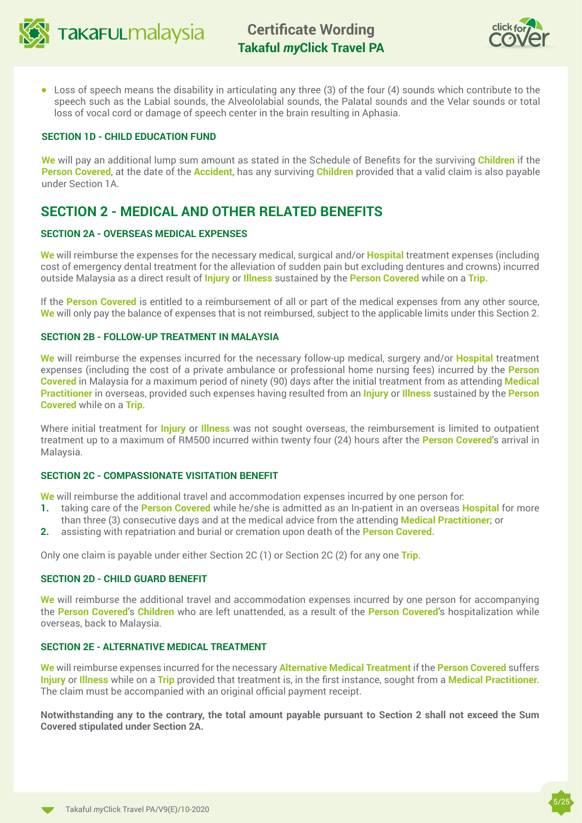



 $\bullet$  Loss of speech means the disability in articulating any three (3) of the four (4) sounds which contribute to the speech such as the Labial sounds, the Alveololabial sounds, the Palatal sounds and the Velar sounds or total loss of vocal cord or damage of speech center in the brain resulting in Aphasia.

## **SECTION 1D - CHILD EDUCATION FUND**

**We** will pay an additional lump sum amount as stated in the Schedule of Benefits for the surviving **Children** if the **Person Covered**, at the date of the **Accident**, has any surviving **Children** provided that a valid claim is also payable under Section 1A.

## **SECTION 2 - MEDICAL AND OTHER RELATED BENEFITS**

## **SECTION 2A - OVERSEAS MEDICAL EXPENSES**

**We** will reimburse the expenses for the necessary medical, surgical and/or **Hospital** treatment expenses (including cost of emergency dental treatment for the alleviation of sudden pain but excluding dentures and crowns) incurred outside Malaysia as a direct result of **Injury** or **Illness** sustained by the **Person Covered** while on a **Trip.**

If the **Person Covered** is entitled to a reimbursement of all or part of the medical expenses from any other source, **We** will only pay the balance of expenses that is not reimbursed, subject to the applicable limits under this Section 2.

## **SECTION 2B - FOLLOW-UP TREATMENT IN MALAYSIA**

**We** will reimburse the expenses incurred for the necessary follow-up medical, surgery and/or **Hospital** treatment expenses (including the cost of a private ambulance or professional home nursing fees) incurred by the **Person Covered** in Malaysia for a maximum period of ninety (90) days after the initial treatment from as attending **Medical Practitioner** in overseas, provided such expenses having resulted from an **Injury** or **Illness** sustained by the **Person Covered** while on a **Trip**.

Where initial treatment for **Injury** or **Illness** was not sought overseas, the reimbursement is limited to outpatient treatment up to a maximum of RM500 incurred within twenty four (24) hours after the **Person Covered**'s arrival in Malaysia.

## **SECTION 2C - COMPASSIONATE VISITATION BENEFIT**

**We** will reimburse the additional travel and accommodation expenses incurred by one person for:

- **1.** taking care of the **Person Covered** while he/she is admitted as an In-patient in an overseas **Hospital** for more than three (3) consecutive days and at the medical advice from the attending **Medical Practitioner**; or
- **2.** assisting with repatriation and burial or cremation upon death of the **Person Covered.**

Only one claim is payable under either Section 2C (1) or Section 2C (2) for any one **Trip**.

#### **SECTION 2D - CHILD GUARD BENEFIT**

**We** will reimburse the additional travel and accommodation expenses incurred by one person for accompanying the **Person Covered**'s **Children** who are left unattended, as a result of the **Person Covered**'s hospitalization while overseas, back to Malaysia.

## **SECTION 2E - ALTERNATIVE MEDICAL TREATMENT**

**We** will reimburse expenses incurred for the necessary **Alternative Medical Treatment** if the **Person Covered** suffers **Injury** or **Illness** while on a **Trip** provided that treatment is, in the first instance, sought from a **Medical Practitioner.**  The claim must be accompanied with an original official payment receipt.

**Notwithstanding any to the contrary, the total amount payable pursuant to Section 2 shall not exceed the Sum Covered stipulated under Section 2A.**

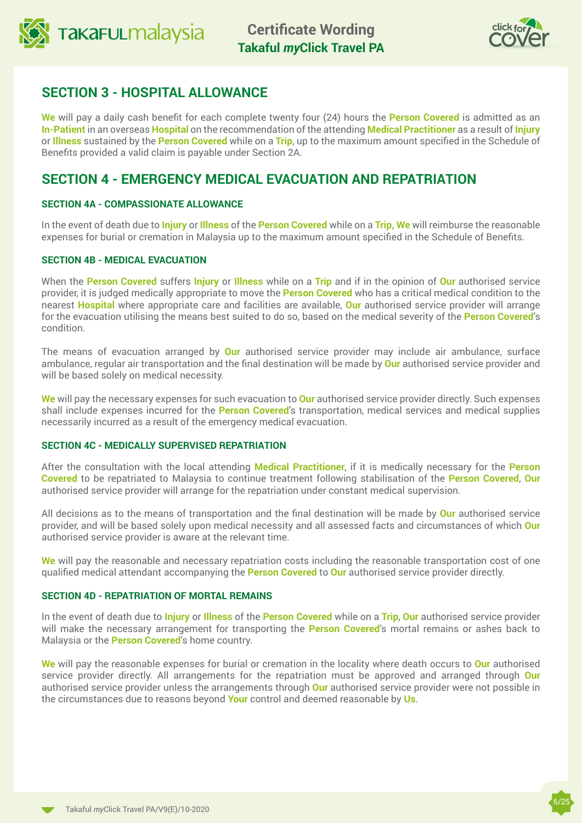



## **SECTION 3 - HOSPITAL ALLOWANCE**

**We** will pay a daily cash benefit for each complete twenty four (24) hours the **Person Covered** is admitted as an **In-Patient** in an overseas **Hospital** on the recommendation of the attending **Medical Practitioner** as a result of **Injury**  or **Illness** sustained by the **Person Covered** while on a **Trip**, up to the maximum amount specified in the Schedule of Benefits provided a valid claim is payable under Section 2A.

## **SECTION 4 - EMERGENCY MEDICAL EVACUATION AND REPATRIATION**

## **SECTION 4A - COMPASSIONATE ALLOWANCE**

In the event of death due to **Injury** or **Illness** of the **Person Covered** while on a **Trip, We** will reimburse the reasonable expenses for burial or cremation in Malaysia up to the maximum amount specified in the Schedule of Benefits.

## **SECTION 4B - MEDICAL EVACUATION**

When the **Person Covered** suffers **Injury** or **Illness** while on a **Trip** and if in the opinion of **Our** authorised service provider, it is judged medically appropriate to move the **Person Covered** who has a critical medical condition to the nearest **Hospital** where appropriate care and facilities are available, **Our** authorised service provider will arrange for the evacuation utilising the means best suited to do so, based on the medical severity of the **Person Covered**'s condition.

The means of evacuation arranged by **Our** authorised service provider may include air ambulance, surface ambulance, regular air transportation and the final destination will be made by **Our** authorised service provider and will be based solely on medical necessity.

**We** will pay the necessary expenses for such evacuation to **Our** authorised service provider directly. Such expenses shall include expenses incurred for the **Person Covered**'s transportation, medical services and medical supplies necessarily incurred as a result of the emergency medical evacuation.

## **SECTION 4C - MEDICALLY SUPERVISED REPATRIATION**

After the consultation with the local attending **Medical Practitioner**, if it is medically necessary for the **Person Covered** to be repatriated to Malaysia to continue treatment following stabilisation of the **Person Covered**, **Our** authorised service provider will arrange for the repatriation under constant medical supervision.

All decisions as to the means of transportation and the final destination will be made by **Our** authorised service provider, and will be based solely upon medical necessity and all assessed facts and circumstances of which **Our** authorised service provider is aware at the relevant time.

**We** will pay the reasonable and necessary repatriation costs including the reasonable transportation cost of one qualified medical attendant accompanying the **Person Covered** to **Our** authorised service provider directly.

## **SECTION 4D - REPATRIATION OF MORTAL REMAINS**

In the event of death due to **Injury** or **Illness** of the **Person Covered** while on a **Trip**, **Our** authorised service provider will make the necessary arrangement for transporting the **Person Covered**'s mortal remains or ashes back to Malaysia or the **Person Covered**'s home country.

**We** will pay the reasonable expenses for burial or cremation in the locality where death occurs to **Our** authorised service provider directly. All arrangements for the repatriation must be approved and arranged through **Our**  authorised service provider unless the arrangements through **Our** authorised service provider were not possible in the circumstances due to reasons beyond **Your** control and deemed reasonable by **Us**.

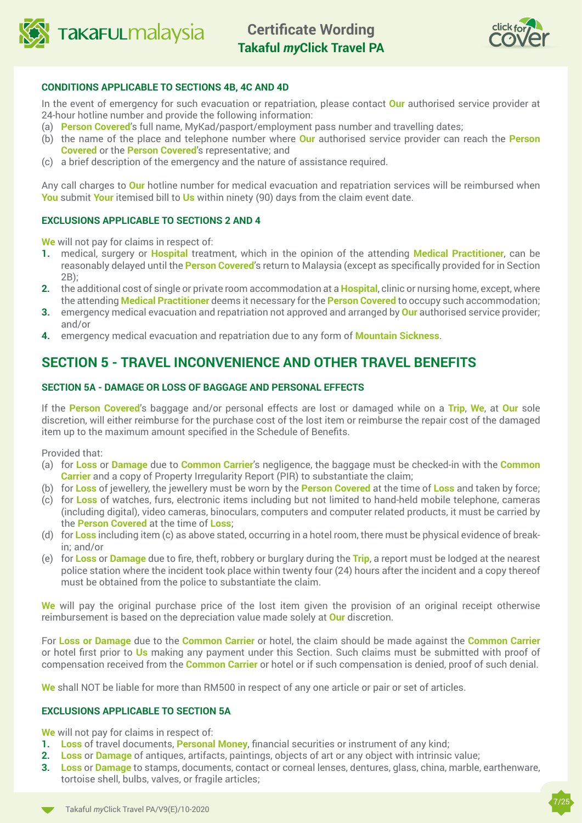



## **CONDITIONS APPLICABLE TO SECTIONS 4B, 4C AND 4D**

In the event of emergency for such evacuation or repatriation, please contact **Our** authorised service provider at 24-hour hotline number and provide the following information:

- (a) **Person Covered**'s full name, MyKad/pasport/employment pass number and travelling dates;
- (b) the name of the place and telephone number where **Our** authorised service provider can reach the **Person Covered** or the **Person Covered**'s representative; and
- (c) a brief description of the emergency and the nature of assistance required.

Any call charges to **Our** hotline number for medical evacuation and repatriation services will be reimbursed when **You** submit **Your** itemised bill to **Us** within ninety (90) days from the claim event date.

## **EXCLUSIONS APPLICABLE TO SECTIONS 2 AND 4**

**We** will not pay for claims in respect of:

- **1.** medical, surgery or **Hospital** treatment, which in the opinion of the attending **Medical Practitioner**, can be reasonably delayed until the **Person Covered**'s return to Malaysia (except as specifically provided for in Section 2B);
- **2.** the additional cost of single or private room accommodation at a **Hospital**, clinic or nursing home, except, where the attending **Medical Practitioner** deems it necessary for the **Person Covered** to occupy such accommodation;
- **3.** emergency medical evacuation and repatriation not approved and arranged by **Our** authorised service provider; and/or
- **4.** emergency medical evacuation and repatriation due to any form of **Mountain Sickness**.

## **SECTION 5 - TRAVEL INCONVENIENCE AND OTHER TRAVEL BENEFITS**

## **SECTION 5A - DAMAGE OR LOSS OF BAGGAGE AND PERSONAL EFFECTS**

If the **Person Covered**'s baggage and/or personal effects are lost or damaged while on a **Trip**, **We**, at **Our** sole discretion, will either reimburse for the purchase cost of the lost item or reimburse the repair cost of the damaged item up to the maximum amount specified in the Schedule of Benefits.

#### Provided that:

- (a) for **Loss** or **Damage** due to **Common Carrier**'s negligence, the baggage must be checked-in with the **Common Carrier** and a copy of Property Irregularity Report (PIR) to substantiate the claim;
- (b) for **Loss** of jewellery, the jewellery must be worn by the **Person Covered** at the time of **Loss** and taken by force;
- (c) for **Loss** of watches, furs, electronic items including but not limited to hand-held mobile telephone, cameras (including digital), video cameras, binoculars, computers and computer related products, it must be carried by the **Person Covered** at the time of **Loss**;
- (d) for **Loss** including item (c) as above stated, occurring in a hotel room, there must be physical evidence of breakin; and/or
- (e) for **Loss** or **Damage** due to fire, theft, robbery or burglary during the **Trip**, a report must be lodged at the nearest police station where the incident took place within twenty four (24) hours after the incident and a copy thereof must be obtained from the police to substantiate the claim.

**We** will pay the original purchase price of the lost item given the provision of an original receipt otherwise reimbursement is based on the depreciation value made solely at **Our** discretion.

For **Loss or Damage** due to the **Common Carrier** or hotel, the claim should be made against the **Common Carrier**  or hotel first prior to **Us** making any payment under this Section. Such claims must be submitted with proof of compensation received from the **Common Carrier** or hotel or if such compensation is denied, proof of such denial.

**We** shall NOT be liable for more than RM500 in respect of any one article or pair or set of articles.

## **EXCLUSIONS APPLICABLE TO SECTION 5A**

**We** will not pay for claims in respect of:

- **1. Loss** of travel documents, **Personal Money**, financial securities or instrument of any kind;
- **2. Loss** or **Damage** of antiques, artifacts, paintings, objects of art or any object with intrinsic value;
- **3. Loss** or **Damage** to stamps, documents, contact or corneal lenses, dentures, glass, china, marble, earthenware, tortoise shell, bulbs, valves, or fragile articles;

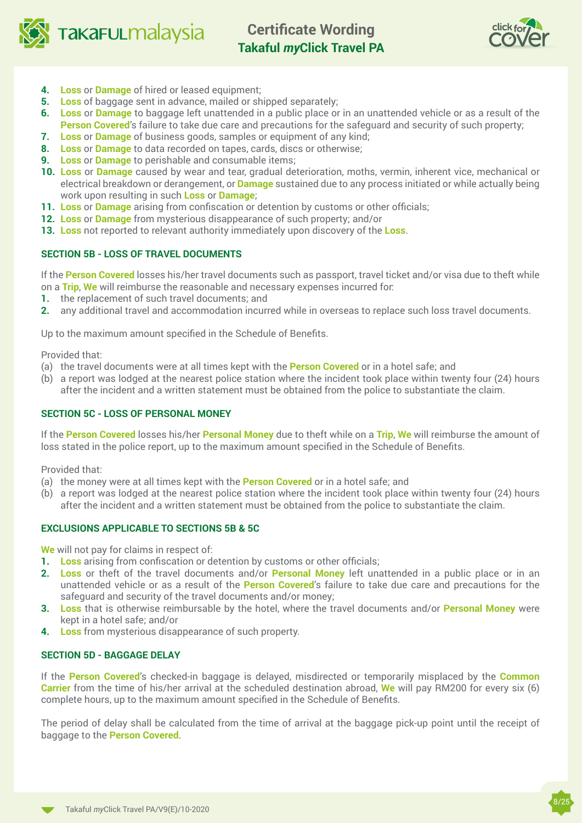

**TAKAFULMAlaysia** 

**Certificate Wording Takaful** *my***Click Travel PA**



- **4. Loss** or **Damage** of hired or leased equipment;
- **5. Loss** of baggage sent in advance, mailed or shipped separately;
- **6. Loss** or **Damage** to baggage left unattended in a public place or in an unattended vehicle or as a result of the **Person Covered's** failure to take due care and precautions for the safeguard and security of such property;
- **7. Loss** or **Damage** of business goods, samples or equipment of any kind;
- **8. Loss** or **Damage** to data recorded on tapes, cards, discs or otherwise;
- **9. Loss** or **Damage** to perishable and consumable items;
- **10. Loss** or **Damage** caused by wear and tear, gradual deterioration, moths, vermin, inherent vice, mechanical or electrical breakdown or derangement, or **Damage** sustained due to any process initiated or while actually being work upon resulting in such **Loss** or **Damage**;
- **11. Loss** or **Damage** arising from confiscation or detention by customs or other officials;
- **12. Loss** or **Damage** from mysterious disappearance of such property; and/or
- **13. Loss** not reported to relevant authority immediately upon discovery of the **Loss**.

## **SECTION 5B - LOSS OF TRAVEL DOCUMENTS**

If the **Person Covered** losses his/her travel documents such as passport, travel ticket and/or visa due to theft while on a **Trip**, **We** will reimburse the reasonable and necessary expenses incurred for:

- **1.** the replacement of such travel documents; and
- **2.** any additional travel and accommodation incurred while in overseas to replace such loss travel documents.

Up to the maximum amount specified in the Schedule of Benefits.

Provided that:

- (a) the travel documents were at all times kept with the **Person Covered** or in a hotel safe; and
- (b) a report was lodged at the nearest police station where the incident took place within twenty four (24) hours after the incident and a written statement must be obtained from the police to substantiate the claim.

## **SECTION 5C - LOSS OF PERSONAL MONEY**

If the **Person Covered** losses his/her **Personal Money** due to theft while on a **Trip**, **We** will reimburse the amount of loss stated in the police report, up to the maximum amount specified in the Schedule of Benefits.

Provided that:

- (a) the money were at all times kept with the **Person Covered** or in a hotel safe; and
- (b) a report was lodged at the nearest police station where the incident took place within twenty four (24) hours after the incident and a written statement must be obtained from the police to substantiate the claim.

## **EXCLUSIONS APPLICABLE TO SECTIONS 5B & 5C**

**We** will not pay for claims in respect of:

- **1. Loss** arising from confiscation or detention by customs or other officials;
- **2. Loss** or theft of the travel documents and/or **Personal Money** left unattended in a public place or in an unattended vehicle or as a result of the **Person Covered**'s failure to take due care and precautions for the safeguard and security of the travel documents and/or money;
- **3. Loss** that is otherwise reimbursable by the hotel, where the travel documents and/or **Personal Money** were kept in a hotel safe; and/or
- **4. Loss** from mysterious disappearance of such property.

## **SECTION 5D - BAGGAGE DELAY**

If the **Person Covered**'s checked-in baggage is delayed, misdirected or temporarily misplaced by the **Common Carrier** from the time of his/her arrival at the scheduled destination abroad, **We** will pay RM200 for every six (6) complete hours, up to the maximum amount specified in the Schedule of Benefits.

The period of delay shall be calculated from the time of arrival at the baggage pick-up point until the receipt of baggage to the **Person Covered**.

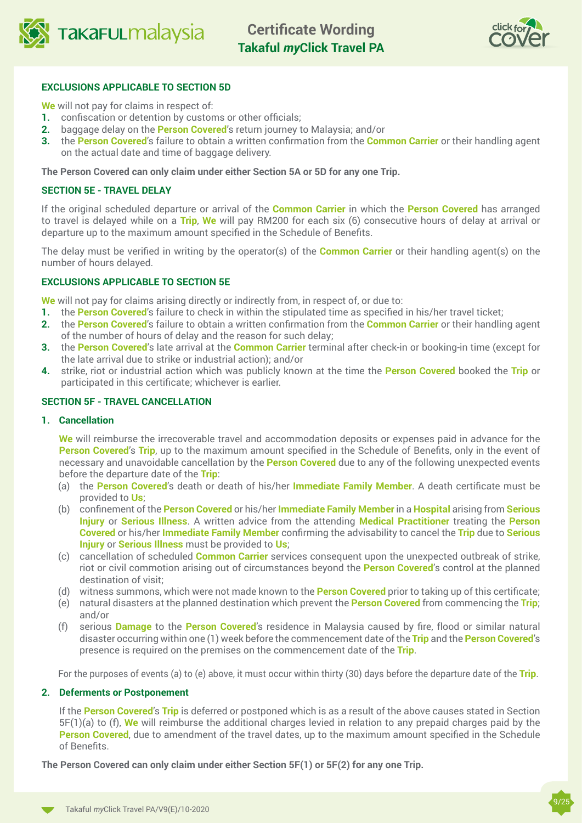



## **EXCLUSIONS APPLICABLE TO SECTION 5D**

**We** will not pay for claims in respect of:

- **1.** confiscation or detention by customs or other officials;
- **2.** baggage delay on the **Person Covered**'s return journey to Malaysia; and/or
- **3.** the **Person Covered**'s failure to obtain a written confirmation from the **Common Carrier** or their handling agent on the actual date and time of baggage delivery.

**The Person Covered can only claim under either Section 5A or 5D for any one Trip.**

## **SECTION 5E - TRAVEL DELAY**

If the original scheduled departure or arrival of the **Common Carrier** in which the **Person Covered** has arranged to travel is delayed while on a **Trip**, **We** will pay RM200 for each six (6) consecutive hours of delay at arrival or departure up to the maximum amount specified in the Schedule of Benefits.

The delay must be verified in writing by the operator(s) of the **Common Carrier** or their handling agent(s) on the number of hours delayed.

### **EXCLUSIONS APPLICABLE TO SECTION 5E**

**We** will not pay for claims arising directly or indirectly from, in respect of, or due to:

- **1.** the **Person Covered**'s failure to check in within the stipulated time as specified in his/her travel ticket;
- **2.** the **Person Covered**'s failure to obtain a written confirmation from the **Common Carrier** or their handling agent of the number of hours of delay and the reason for such delay;
- **3.** the **Person Covered**'s late arrival at the **Common Carrier** terminal after check-in or booking-in time (except for the late arrival due to strike or industrial action); and/or
- **4.** strike, riot or industrial action which was publicly known at the time the **Person Covered** booked the **Trip** or participated in this certificate; whichever is earlier.

## **SECTION 5F - TRAVEL CANCELLATION**

#### **1. Cancellation**

**We** will reimburse the irrecoverable travel and accommodation deposits or expenses paid in advance for the **Person Covered**'s **Trip**, up to the maximum amount specified in the Schedule of Benefits, only in the event of necessary and unavoidable cancellation by the **Person Covered** due to any of the following unexpected events before the departure date of the **Trip**:

- (a) the **Person Covered**'s death or death of his/her **Immediate Family Member**. A death certificate must be provided to **Us**;
- (b) confinement of the **Person Covered** or his/her **Immediate Family Member** in a **Hospital** arising from **Serious Injury** or **Serious Illness**. A written advice from the attending **Medical Practitioner** treating the **Person Covered** or his/her **Immediate Family Member** confirming the advisability to cancel the **Trip** due to **Serious Injury** or **Serious Illness** must be provided to **Us**;
- (c) cancellation of scheduled **Common Carrier** services consequent upon the unexpected outbreak of strike, riot or civil commotion arising out of circumstances beyond the **Person Covered**'s control at the planned destination of visit;
- (d) witness summons, which were not made known to the **Person Covered** prior to taking up of this certificate;
- (e) natural disasters at the planned destination which prevent the **Person Covered** from commencing the **Trip**; and/or
- (f) serious **Damage** to the **Person Covered**'s residence in Malaysia caused by fire, flood or similar natural disaster occurring within one (1) week before the commencement date of the **Trip** and the **Person Covered**'s presence is required on the premises on the commencement date of the **Trip**.

For the purposes of events (a) to (e) above, it must occur within thirty (30) days before the departure date of the **Trip**.

#### **2. Deferments or Postponement**

If the **Person Covered**'s **Trip** is deferred or postponed which is as a result of the above causes stated in Section 5F(1)(a) to (f), **We** will reimburse the additional charges levied in relation to any prepaid charges paid by the **Person Covered**, due to amendment of the travel dates, up to the maximum amount specified in the Schedule of Benefits.

**The Person Covered can only claim under either Section 5F(1) or 5F(2) for any one Trip.**

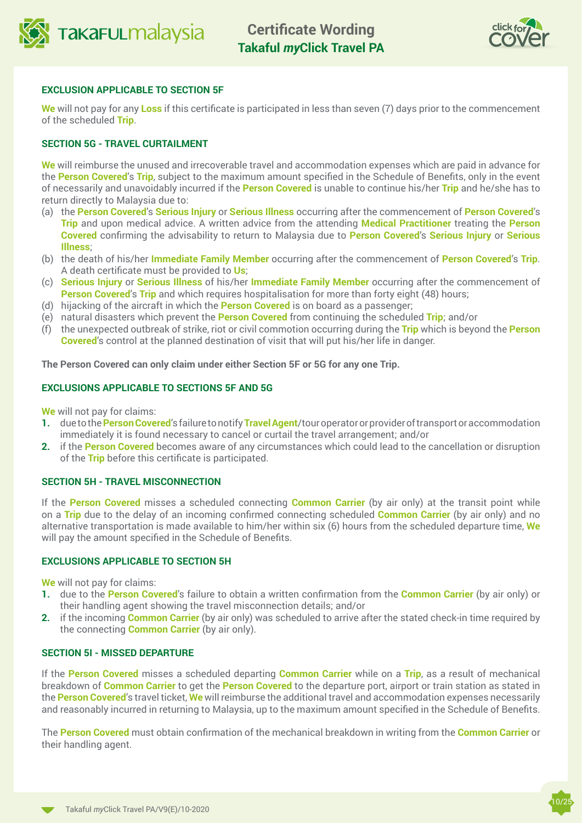



## **EXCLUSION APPLICABLE TO SECTION 5F**

**We** will not pay for any **Loss** if this certificate is participated in less than seven (7) days prior to the commencement of the scheduled **Trip**.

## **SECTION 5G - TRAVEL CURTAILMENT**

**We** will reimburse the unused and irrecoverable travel and accommodation expenses which are paid in advance for the **Person Covered**'s **Trip**, subject to the maximum amount specified in the Schedule of Benefits, only in the event of necessarily and unavoidably incurred if the **Person Covered** is unable to continue his/her **Trip** and he/she has to return directly to Malaysia due to:

- (a) the **Person Covered**'s **Serious Injury** or **Serious Illness** occurring after the commencement of **Person Covered**'s **Trip** and upon medical advice. A written advice from the attending **Medical Practitioner** treating the **Person Covered** confirming the advisability to return to Malaysia due to **Person Covered**'s **Serious Injury** or **Serious Illness**;
- (b) the death of his/her **Immediate Family Member** occurring after the commencement of **Person Covered**'s **Trip**. A death certificate must be provided to **Us**;
- (c) **Serious Injury** or **Serious Illness** of his/her **Immediate Family Member** occurring after the commencement of **Person Covered's Trip and which requires hospitalisation for more than forty eight (48) hours;**
- (d) hijacking of the aircraft in which the **Person Covered** is on board as a passenger;
- (e) natural disasters which prevent the **Person Covered** from continuing the scheduled **Trip**; and/or
- (f) the unexpected outbreak of strike, riot or civil commotion occurring during the **Trip** which is beyond the **Person Covered**'s control at the planned destination of visit that will put his/her life in danger.

**The Person Covered can only claim under either Section 5F or 5G for any one Trip.**

## **EXCLUSIONS APPLICABLE TO SECTIONS 5F AND 5G**

**We** will not pay for claims:

- **1.** due to the **Person Covered**'s failure to notify **Travel Agent**/tour operator or provider of transport or accommodation immediately it is found necessary to cancel or curtail the travel arrangement; and/or
- **2.** if the **Person Covered** becomes aware of any circumstances which could lead to the cancellation or disruption of the **Trip** before this certificate is participated.

### **SECTION 5H - TRAVEL MISCONNECTION**

If the **Person Covered** misses a scheduled connecting **Common Carrier** (by air only) at the transit point while on a **Trip** due to the delay of an incoming confirmed connecting scheduled **Common Carrier** (by air only) and no alternative transportation is made available to him/her within six (6) hours from the scheduled departure time, **We**  will pay the amount specified in the Schedule of Benefits.

### **EXCLUSIONS APPLICABLE TO SECTION 5H**

**We** will not pay for claims:

- **1.** due to the **Person Covered**'s failure to obtain a written confirmation from the **Common Carrier** (by air only) or their handling agent showing the travel misconnection details; and/or
- **2.** if the incoming **Common Carrier** (by air only) was scheduled to arrive after the stated check-in time required by the connecting **Common Carrier** (by air only).

#### **SECTION 5I - MISSED DEPARTURE**

If the **Person Covered** misses a scheduled departing **Common Carrier** while on a **Trip**, as a result of mechanical breakdown of **Common Carrier** to get the **Person Covered** to the departure port, airport or train station as stated in the **Person Covered**'s travel ticket, **We** will reimburse the additional travel and accommodation expenses necessarily and reasonably incurred in returning to Malaysia, up to the maximum amount specified in the Schedule of Benefits.

The **Person Covered** must obtain confirmation of the mechanical breakdown in writing from the **Common Carrier** or their handling agent.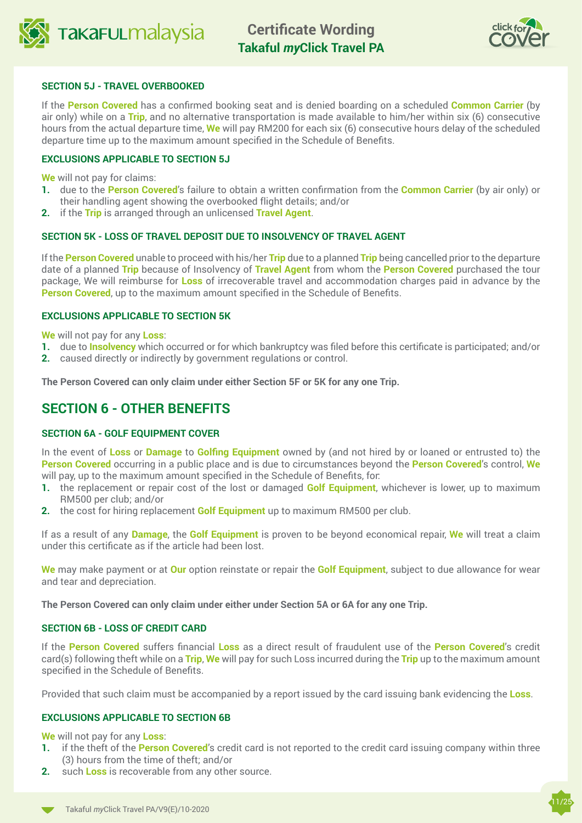



## **SECTION 5J - TRAVEL OVERBOOKED**

If the **Person Covered** has a confirmed booking seat and is denied boarding on a scheduled **Common Carrier** (by air only) while on a **Trip**, and no alternative transportation is made available to him/her within six (6) consecutive hours from the actual departure time, **We** will pay RM200 for each six (6) consecutive hours delay of the scheduled departure time up to the maximum amount specified in the Schedule of Benefits.

## **EXCLUSIONS APPLICABLE TO SECTION 5J**

**We** will not pay for claims:

- **1.** due to the **Person Covered**'s failure to obtain a written confirmation from the **Common Carrier** (by air only) or their handling agent showing the overbooked flight details; and/or
- **2.** if the **Trip** is arranged through an unlicensed **Travel Agent**.

## **SECTION 5K - LOSS OF TRAVEL DEPOSIT DUE TO INSOLVENCY OF TRAVEL AGENT**

If the **Person Covered** unable to proceed with his/her **Trip** due to a planned **Trip** being cancelled prior to the departure date of a planned **Trip** because of Insolvency of **Travel Agent** from whom the **Person Covered** purchased the tour package, We will reimburse for **Loss** of irrecoverable travel and accommodation charges paid in advance by the **Person Covered**, up to the maximum amount specified in the Schedule of Benefits.

### **EXCLUSIONS APPLICABLE TO SECTION 5K**

**We** will not pay for any **Loss**:

- **1.** due to **Insolvency** which occurred or for which bankruptcy was filed before this certificate is participated; and/or
- **2.** caused directly or indirectly by government regulations or control.

**The Person Covered can only claim under either Section 5F or 5K for any one Trip.**

## **SECTION 6 - OTHER BENEFITS**

## **SECTION 6A - GOLF EQUIPMENT COVER**

In the event of **Loss** or **Damage** to **Golfing Equipment** owned by (and not hired by or loaned or entrusted to) the **Person Covered** occurring in a public place and is due to circumstances beyond the **Person Covered**'s control, **We**  will pay, up to the maximum amount specified in the Schedule of Benefits, for:

- **1.** the replacement or repair cost of the lost or damaged **Golf Equipment**, whichever is lower, up to maximum RM500 per club; and/or
- **2.** the cost for hiring replacement **Golf Equipment** up to maximum RM500 per club.

If as a result of any **Damage**, the **Golf Equipment** is proven to be beyond economical repair, **We** will treat a claim under this certificate as if the article had been lost.

**We** may make payment or at **Our** option reinstate or repair the **Golf Equipment**, subject to due allowance for wear and tear and depreciation.

**The Person Covered can only claim under either under Section 5A or 6A for any one Trip.**

## **SECTION 6B - LOSS OF CREDIT CARD**

If the **Person Covered** suffers financial **Loss** as a direct result of fraudulent use of the **Person Covered**'s credit card(s) following theft while on a **Trip**, **We** will pay for such Loss incurred during the **Trip** up to the maximum amount specified in the Schedule of Benefits.

Provided that such claim must be accompanied by a report issued by the card issuing bank evidencing the **Loss**.

## **EXCLUSIONS APPLICABLE TO SECTION 6B**

**We** will not pay for any **Loss**:

- **1.** if the theft of the **Person Covered**'s credit card is not reported to the credit card issuing company within three (3) hours from the time of theft; and/or
- **2.** such **Loss** is recoverable from any other source.

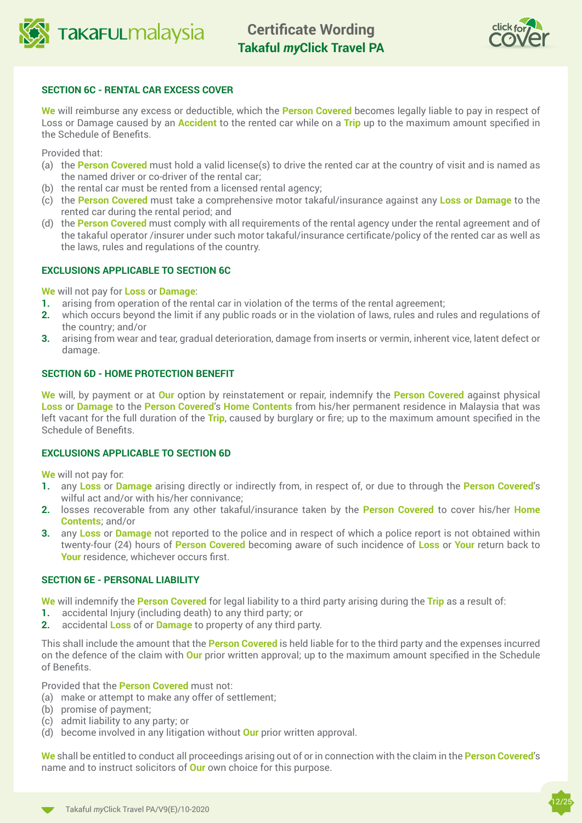



## **SECTION 6C - RENTAL CAR EXCESS COVER**

**We** will reimburse any excess or deductible, which the **Person Covered** becomes legally liable to pay in respect of Loss or Damage caused by an **Accident** to the rented car while on a **Trip** up to the maximum amount specified in the Schedule of Benefits.

Provided that:

- (a) the **Person Covered** must hold a valid license(s) to drive the rented car at the country of visit and is named as the named driver or co-driver of the rental car;
- (b) the rental car must be rented from a licensed rental agency;
- (c) the **Person Covered** must take a comprehensive motor takaful/insurance against any **Loss or Damage** to the rented car during the rental period; and
- (d) the **Person Covered** must comply with all requirements of the rental agency under the rental agreement and of the takaful operator /insurer under such motor takaful/insurance certificate/policy of the rented car as well as the laws, rules and regulations of the country.

## **EXCLUSIONS APPLICABLE TO SECTION 6C**

**We** will not pay for **Loss** or **Damage**:

- **1.** arising from operation of the rental car in violation of the terms of the rental agreement;
- **2.** which occurs beyond the limit if any public roads or in the violation of laws, rules and rules and regulations of the country; and/or
- **3.** arising from wear and tear, gradual deterioration, damage from inserts or vermin, inherent vice, latent defect or damage.

### **SECTION 6D - HOME PROTECTION BENEFIT**

**We** will, by payment or at **Our** option by reinstatement or repair, indemnify the **Person Covered** against physical **Loss** or **Damage** to the **Person Covered**'s **Home Contents** from his/her permanent residence in Malaysia that was left vacant for the full duration of the **Trip**, caused by burglary or fire; up to the maximum amount specified in the Schedule of Benefits.

## **EXCLUSIONS APPLICABLE TO SECTION 6D**

**We** will not pay for:

- **1.** any **Loss** or **Damage** arising directly or indirectly from, in respect of, or due to through the **Person Covered**'s wilful act and/or with his/her connivance;
- **2.** losses recoverable from any other takaful/insurance taken by the **Person Covered** to cover his/her **Home Contents**; and/or
- **3.** any **Loss** or **Damage** not reported to the police and in respect of which a police report is not obtained within twenty-four (24) hours of **Person Covered** becoming aware of such incidence of **Loss** or **Your** return back to **Your** residence, whichever occurs first.

#### **SECTION 6E - PERSONAL LIABILITY**

**We** will indemnify the **Person Covered** for legal liability to a third party arising during the **Trip** as a result of:

- **1.** accidental Injury (including death) to any third party; or
- **2.** accidental **Loss** of or **Damage** to property of any third party.

This shall include the amount that the **Person Covered** is held liable for to the third party and the expenses incurred on the defence of the claim with **Our** prior written approval; up to the maximum amount specified in the Schedule of Benefits.

Provided that the **Person Covered** must not:

- (a) make or attempt to make any offer of settlement;
- (b) promise of payment;
- (c) admit liability to any party; or
- (d) become involved in any litigation without **Our** prior written approval.

**We** shall be entitled to conduct all proceedings arising out of or in connection with the claim in the **Person Covered**'s name and to instruct solicitors of **Our** own choice for this purpose.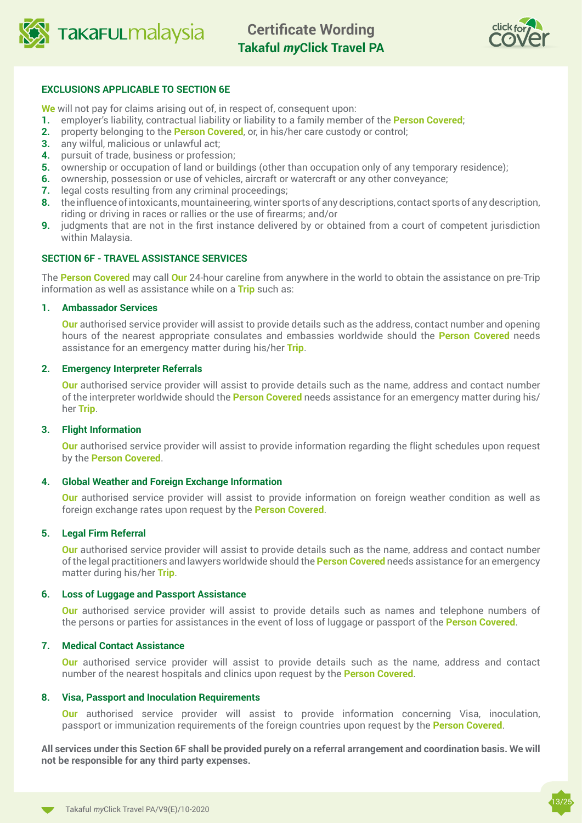



## **EXCLUSIONS APPLICABLE TO SECTION 6E**

**We** will not pay for claims arising out of, in respect of, consequent upon:

- **1.** employer's liability, contractual liability or liability to a family member of the **Person Covered**;
- **2.** property belonging to the **Person Covered**, or, in his/her care custody or control;
- **3.** any wilful, malicious or unlawful act;
- **4.** pursuit of trade, business or profession;
- **5.** ownership or occupation of land or buildings (other than occupation only of any temporary residence);
- **6.** ownership, possession or use of vehicles, aircraft or watercraft or any other conveyance;
- **7.** legal costs resulting from any criminal proceedings;
- **8.** the influence of intoxicants, mountaineering, winter sports of any descriptions, contact sports of any description, riding or driving in races or rallies or the use of firearms; and/or
- **9.** judgments that are not in the first instance delivered by or obtained from a court of competent jurisdiction within Malaysia.

## **SECTION 6F - TRAVEL ASSISTANCE SERVICES**

The **Person Covered** may call **Our** 24-hour careline from anywhere in the world to obtain the assistance on pre-Trip information as well as assistance while on a **Trip** such as:

#### **1. Ambassador Services**

**Our** authorised service provider will assist to provide details such as the address, contact number and opening hours of the nearest appropriate consulates and embassies worldwide should the **Person Covered** needs assistance for an emergency matter during his/her **Trip**.

#### **2. Emergency Interpreter Referrals**

**Our** authorised service provider will assist to provide details such as the name, address and contact number of the interpreter worldwide should the **Person Covered** needs assistance for an emergency matter during his/ her **Trip**.

#### **3. Flight Information**

**Our** authorised service provider will assist to provide information regarding the flight schedules upon request by the **Person Covered**.

#### **4. Global Weather and Foreign Exchange Information**

**Our** authorised service provider will assist to provide information on foreign weather condition as well as foreign exchange rates upon request by the **Person Covered**.

#### **5. Legal Firm Referral**

**Our** authorised service provider will assist to provide details such as the name, address and contact number of the legal practitioners and lawyers worldwide should the **Person Covered** needs assistance for an emergency matter during his/her **Trip**.

#### **6. Loss of Luggage and Passport Assistance**

**Our** authorised service provider will assist to provide details such as names and telephone numbers of the persons or parties for assistances in the event of loss of luggage or passport of the **Person Covered**.

#### **7. Medical Contact Assistance**

**Our** authorised service provider will assist to provide details such as the name, address and contact number of the nearest hospitals and clinics upon request by the **Person Covered**.

#### **8. Visa, Passport and Inoculation Requirements**

**Our** authorised service provider will assist to provide information concerning Visa, inoculation, passport or immunization requirements of the foreign countries upon request by the **Person Covered**.

**All services under this Section 6F shall be provided purely on a referral arrangement and coordination basis. We will not be responsible for any third party expenses.**

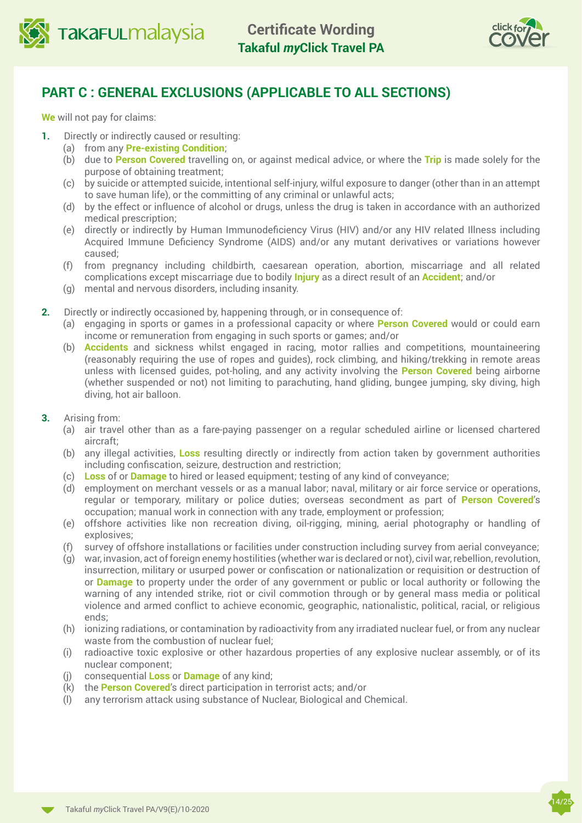



## **PART C : GENERAL EXCLUSIONS (APPLICABLE TO ALL SECTIONS)**

**We** will not pay for claims:

- **1.** Directly or indirectly caused or resulting:
	- (a) from any **Pre-existing Condition**;
	- (b) due to **Person Covered** travelling on, or against medical advice, or where the **Trip** is made solely for the purpose of obtaining treatment;
	- (c) by suicide or attempted suicide, intentional self-injury, wilful exposure to danger (other than in an attempt to save human life), or the committing of any criminal or unlawful acts;
	- (d) by the effect or influence of alcohol or drugs, unless the drug is taken in accordance with an authorized medical prescription;
	- (e) directly or indirectly by Human Immunodeficiency Virus (HIV) and/or any HIV related Illness including Acquired Immune Deficiency Syndrome (AIDS) and/or any mutant derivatives or variations however caused;
	- (f) from pregnancy including childbirth, caesarean operation, abortion, miscarriage and all related complications except miscarriage due to bodily **Injury** as a direct result of an **Accident**; and/or
	- (g) mental and nervous disorders, including insanity.
- **2.** Directly or indirectly occasioned by, happening through, or in consequence of:
	- (a) engaging in sports or games in a professional capacity or where **Person Covered** would or could earn income or remuneration from engaging in such sports or games; and/or
	- (b) **Accidents** and sickness whilst engaged in racing, motor rallies and competitions, mountaineering (reasonably requiring the use of ropes and guides), rock climbing, and hiking/trekking in remote areas unless with licensed guides, pot-holing, and any activity involving the **Person Covered** being airborne (whether suspended or not) not limiting to parachuting, hand gliding, bungee jumping, sky diving, high diving, hot air balloon.
- **3.** Arising from:
	- (a) air travel other than as a fare-paying passenger on a regular scheduled airline or licensed chartered aircraft;
	- (b) any illegal activities, **Loss** resulting directly or indirectly from action taken by government authorities including confiscation, seizure, destruction and restriction;
	- (c) **Loss** of or **Damage** to hired or leased equipment; testing of any kind of conveyance;
	- (d) employment on merchant vessels or as a manual labor; naval, military or air force service or operations, regular or temporary, military or police duties; overseas secondment as part of **Person Covered**'s occupation; manual work in connection with any trade, employment or profession;
	- (e) offshore activities like non recreation diving, oil-rigging, mining, aerial photography or handling of explosives;
	- (f) survey of offshore installations or facilities under construction including survey from aerial conveyance;
	- (g) war, invasion, act of foreign enemy hostilities (whether war is declared or not), civil war, rebellion, revolution, insurrection, military or usurped power or confiscation or nationalization or requisition or destruction of or **Damage** to property under the order of any government or public or local authority or following the warning of any intended strike, riot or civil commotion through or by general mass media or political violence and armed conflict to achieve economic, geographic, nationalistic, political, racial, or religious ends;
	- (h) ionizing radiations, or contamination by radioactivity from any irradiated nuclear fuel, or from any nuclear waste from the combustion of nuclear fuel;
	- (i) radioactive toxic explosive or other hazardous properties of any explosive nuclear assembly, or of its nuclear component;
	- (j) consequential **Loss** or **Damage** of any kind;
	- (k) the **Person Covered**'s direct participation in terrorist acts; and/or
	- (l) any terrorism attack using substance of Nuclear, Biological and Chemical.

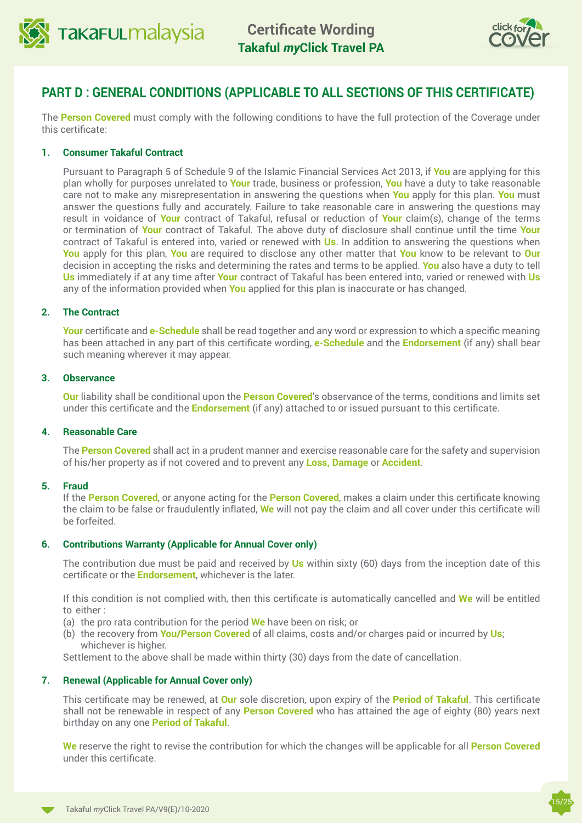



## **PART D : GENERAL CONDITIONS (APPLICABLE TO ALL SECTIONS OF THIS CERTIFICATE)**

The **Person Covered** must comply with the following conditions to have the full protection of the Coverage under this certificate:

### **1. Consumer Takaful Contract**

Pursuant to Paragraph 5 of Schedule 9 of the Islamic Financial Services Act 2013, if **You** are applying for this plan wholly for purposes unrelated to **Your** trade, business or profession, **You** have a duty to take reasonable care not to make any misrepresentation in answering the questions when **You** apply for this plan. **You** must answer the questions fully and accurately. Failure to take reasonable care in answering the questions may result in voidance of **Your** contract of Takaful, refusal or reduction of **Your** claim(s), change of the terms or termination of **Your** contract of Takaful. The above duty of disclosure shall continue until the time **Your** contract of Takaful is entered into, varied or renewed with **Us**. In addition to answering the questions when **You** apply for this plan, **You** are required to disclose any other matter that **You** know to be relevant to **Our** decision in accepting the risks and determining the rates and terms to be applied. **You** also have a duty to tell **Us** immediately if at any time after **Your** contract of Takaful has been entered into, varied or renewed with **Us** any of the information provided when **You** applied for this plan is inaccurate or has changed.

### **2. The Contract**

**Your** certificate and **e-Schedule** shall be read together and any word or expression to which a specific meaning has been attached in any part of this certificate wording, **e-Schedule** and the **Endorsement** (if any) shall bear such meaning wherever it may appear.

#### **3. Observance**

**Our** liability shall be conditional upon the **Person Covered**'s observance of the terms, conditions and limits set under this certificate and the **Endorsement** (if any) attached to or issued pursuant to this certificate.

#### **4. Reasonable Care**

The **Person Covered** shall act in a prudent manner and exercise reasonable care for the safety and supervision of his/her property as if not covered and to prevent any **Loss, Damage** or **Accident**.

#### **5. Fraud**

If the **Person Covered**, or anyone acting for the **Person Covered**, makes a claim under this certificate knowing the claim to be false or fraudulently inflated, **We** will not pay the claim and all cover under this certificate will be forfeited.

#### **6. Contributions Warranty (Applicable for Annual Cover only)**

The contribution due must be paid and received by **Us** within sixty (60) days from the inception date of this certificate or the **Endorsement**, whichever is the later.

If this condition is not complied with, then this certificate is automatically cancelled and **We** will be entitled to either :

- (a) the pro rata contribution for the period **We** have been on risk; or
- (b) the recovery from **You/Person Covered** of all claims, costs and/or charges paid or incurred by **Us**; whichever is higher.

Settlement to the above shall be made within thirty (30) days from the date of cancellation.

## **7. Renewal (Applicable for Annual Cover only)**

This certificate may be renewed, at **Our** sole discretion, upon expiry of the **Period of Takaful**. This certificate shall not be renewable in respect of any **Person Covered** who has attained the age of eighty (80) years next birthday on any one **Period of Takaful**.

**We** reserve the right to revise the contribution for which the changes will be applicable for all **Person Covered**  under this certificate.

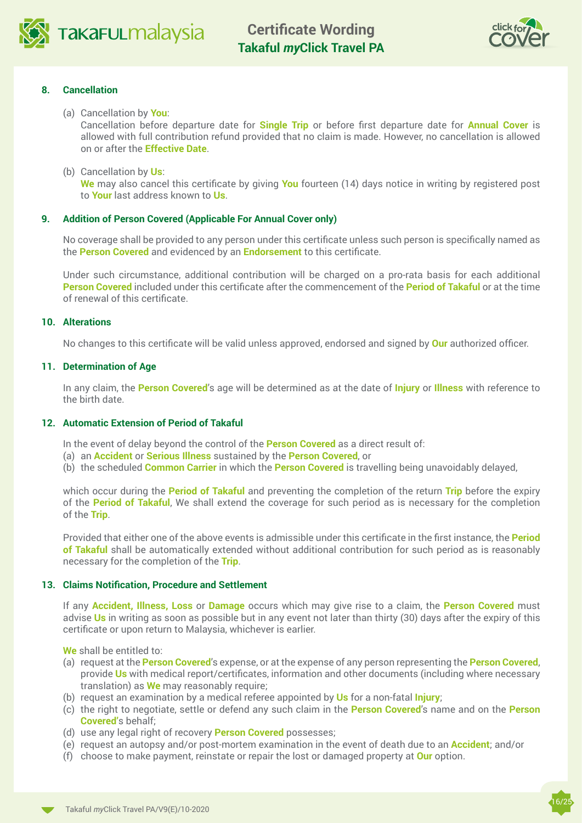



### **8. Cancellation**

(a) Cancellation by **You**:

Cancellation before departure date for **Single Trip** or before first departure date for **Annual Cover** is allowed with full contribution refund provided that no claim is made. However, no cancellation is allowed on or after the **Effective Date**.

(b) Cancellation by **Us**:

 **We** may also cancel this certificate by giving **You** fourteen (14) days notice in writing by registered post to **Your** last address known to **Us**.

### **9. Addition of Person Covered (Applicable For Annual Cover only)**

No coverage shall be provided to any person under this certificate unless such person is specifically named as the **Person Covered** and evidenced by an **Endorsement** to this certificate.

Under such circumstance, additional contribution will be charged on a pro-rata basis for each additional **Person Covered** included under this certificate after the commencement of the **Period of Takaful** or at the time of renewal of this certificate.

#### **10. Alterations**

No changes to this certificate will be valid unless approved, endorsed and signed by **Our** authorized officer.

### **11. Determination of Age**

In any claim, the **Person Covered**'s age will be determined as at the date of **Injury** or **Illness** with reference to the birth date.

### **12. Automatic Extension of Period of Takaful**

In the event of delay beyond the control of the **Person Covered** as a direct result of:

- (a) an **Accident** or **Serious Illness** sustained by the **Person Covered**, or
- (b) the scheduled **Common Carrier** in which the **Person Covered** is travelling being unavoidably delayed,

which occur during the **Period of Takaful** and preventing the completion of the return **Trip** before the expiry of the **Period of Takaful**, We shall extend the coverage for such period as is necessary for the completion of the **Trip**.

Provided that either one of the above events is admissible under this certificate in the first instance, the **Period of Takaful** shall be automatically extended without additional contribution for such period as is reasonably necessary for the completion of the **Trip**.

#### **13. Claims Notification, Procedure and Settlement**

If any **Accident, Illness, Loss** or **Damage** occurs which may give rise to a claim, the **Person Covered** must advise **Us** in writing as soon as possible but in any event not later than thirty (30) days after the expiry of this certificate or upon return to Malaysia, whichever is earlier.

**We** shall be entitled to:

- (a) request at the **Person Covered**'s expense, or at the expense of any person representing the **Person Covered**, provide **Us** with medical report/certificates, information and other documents (including where necessary translation) as **We** may reasonably require;
- (b) request an examination by a medical referee appointed by **Us** for a non-fatal **Injury**;
- (c) the right to negotiate, settle or defend any such claim in the **Person Covered**'s name and on the **Person Covered'**s behalf;
- (d) use any legal right of recovery **Person Covered** possesses;
- (e) request an autopsy and/or post-mortem examination in the event of death due to an **Accident**; and/or
- (f) choose to make payment, reinstate or repair the lost or damaged property at **Our** option.

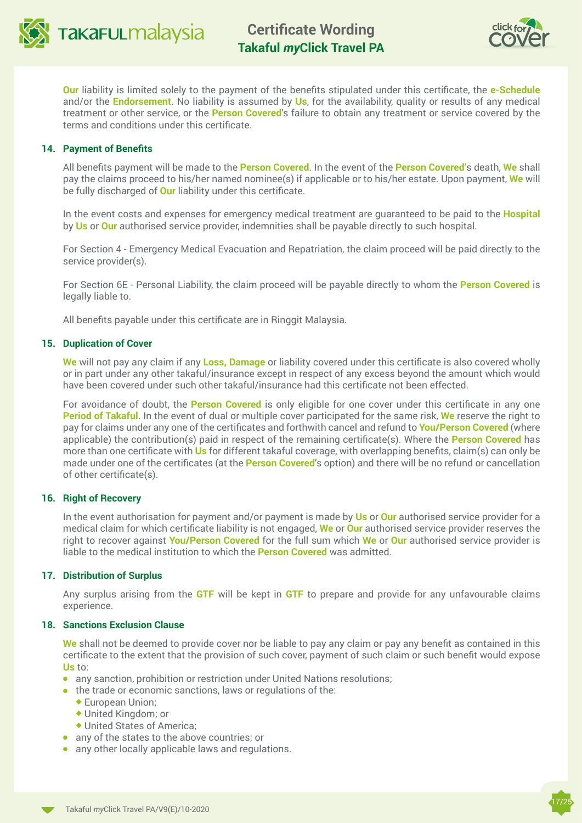



**Our** liability is limited solely to the payment of the benefits stipulated under this certificate, the **e-Schedule** and/or the **Endorsement**. No liability is assumed by **Us**, for the availability, quality or results of any medical treatment or other service, or the **Person Covered**'s failure to obtain any treatment or service covered by the terms and conditions under this certificate.

### **14. Payment of Benefits**

All benefits payment will be made to the **Person Covered**. In the event of the **Person Covered'**s death, **We** shall pay the claims proceed to his/her named nominee(s) if applicable or to his/her estate. Upon payment, **We** will be fully discharged of **Our** liability under this certificate.

In the event costs and expenses for emergency medical treatment are guaranteed to be paid to the **Hospital** by **Us** or **Our** authorised service provider, indemnities shall be payable directly to such hospital.

For Section 4 - Emergency Medical Evacuation and Repatriation, the claim proceed will be paid directly to the service provider(s).

For Section 6E - Personal Liability, the claim proceed will be payable directly to whom the **Person Covered** is legally liable to.

All benefits payable under this certificate are in Ringgit Malaysia.

### **15. Duplication of Cover**

**We** will not pay any claim if any **Loss, Damage** or liability covered under this certificate is also covered wholly or in part under any other takaful/insurance except in respect of any excess beyond the amount which would have been covered under such other takaful/insurance had this certificate not been effected.

For avoidance of doubt, the **Person Covered** is only eligible for one cover under this certificate in any one **Period of Takaful**. In the event of dual or multiple cover participated for the same risk, **We** reserve the right to pay for claims under any one of the certificates and forthwith cancel and refund to **You/Person Covered** (where applicable) the contribution(s) paid in respect of the remaining certificate(s). Where the **Person Covered** has more than one certificate with **Us** for different takaful coverage, with overlapping benefits, claim(s) can only be made under one of the certificates (at the **Person Covered**'s option) and there will be no refund or cancellation of other certificate(s).

#### **16. Right of Recovery**

In the event authorisation for payment and/or payment is made by **Us** or **Our** authorised service provider for a medical claim for which certificate liability is not engaged, **We** or **Our** authorised service provider reserves the right to recover against **You/Person Covered** for the full sum which **We** or **Our** authorised service provider is liable to the medical institution to which the **Person Covered** was admitted.

#### **17. Distribution of Surplus**

Any surplus arising from the **GTF** will be kept in **GTF** to prepare and provide for any unfavourable claims experience.

#### **18. Sanctions Exclusion Clause**

**We** shall not be deemed to provide cover nor be liable to pay any claim or pay any benefit as contained in this certificate to the extent that the provision of such cover, payment of such claim or such benefit would expose **Us** to:

- **.** any sanction, prohibition or restriction under United Nations resolutions;
- $\bullet$  the trade or economic sanctions, laws or regulations of the:
	- $\triangle$  European Union:
	- ◆ United Kingdom: or
	- $\blacklozenge$  United States of America:
- $\bullet$  any of the states to the above countries; or
- $\bullet$  any other locally applicable laws and regulations.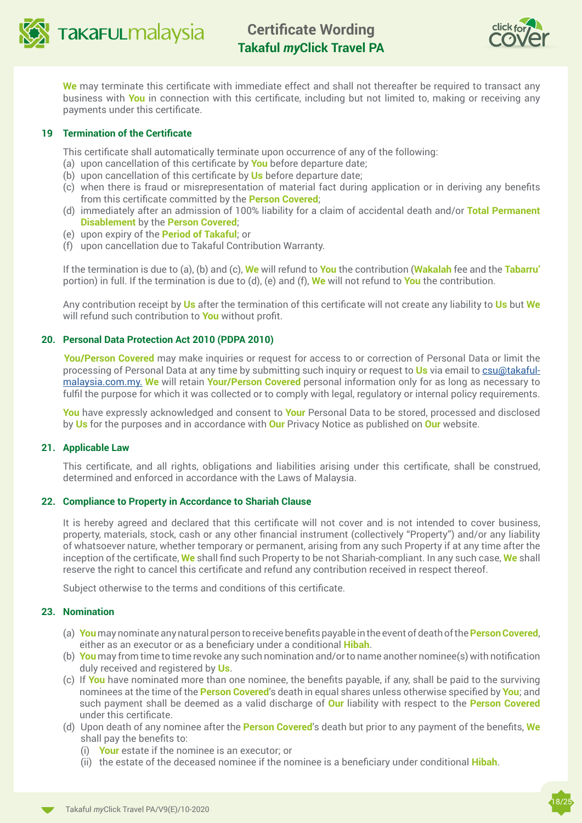

## **Certificate Wording Takaful** *my***Click Travel PA**



**We** may terminate this certificate with immediate effect and shall not thereafter be required to transact any business with **You** in connection with this certificate, including but not limited to, making or receiving any payments under this certificate.

### **19 Termination of the Certificate**

This certificate shall automatically terminate upon occurrence of any of the following:

- (a) upon cancellation of this certificate by **You** before departure date;
- (b) upon cancellation of this certificate by **Us** before departure date;
- (c) when there is fraud or misrepresentation of material fact during application or in deriving any benefits from this certificate committed by the **Person Covered**;
- (d) immediately after an admission of 100% liability for a claim of accidental death and/or **Total Permanent Disablement** by the **Person Covered**;
- (e) upon expiry of the **Period of Takaful**; or
- (f) upon cancellation due to Takaful Contribution Warranty.

If the termination is due to (a), (b) and (c), **We** will refund to **You** the contribution (**Wakalah** fee and the **Tabarru'**  portion) in full. If the termination is due to (d), (e) and (f), **We** will not refund to **You** the contribution.

Any contribution receipt by **Us** after the termination of this certificate will not create any liability to **Us** but **We**  will refund such contribution to **You** without profit.

#### **20. Personal Data Protection Act 2010 (PDPA 2010)**

 **You/Person Covered** may make inquiries or request for access to or correction of Personal Data or limit the processing of Personal Data at any time by submitting such inquiry or request to **Us** via email to [csu@takaful](mailto:csu@takaful-malaysia.com.my.)[malaysia.com.my.](mailto:csu@takaful-malaysia.com.my.) **We** will retain **Your/Person Covered** personal information only for as long as necessary to fulfil the purpose for which it was collected or to comply with legal, regulatory or internal policy requirements.

**You** have expressly acknowledged and consent to **Your** Personal Data to be stored, processed and disclosed by **Us** for the purposes and in accordance with **Our** Privacy Notice as published on **Our** website.

#### **21. Applicable Law**

This certificate, and all rights, obligations and liabilities arising under this certificate, shall be construed, determined and enforced in accordance with the Laws of Malaysia.

#### **22. Compliance to Property in Accordance to Shariah Clause**

It is hereby agreed and declared that this certificate will not cover and is not intended to cover business, property, materials, stock, cash or any other financial instrument (collectively "Property") and/or any liability of whatsoever nature, whether temporary or permanent, arising from any such Property if at any time after the inception of the certificate, **We** shall find such Property to be not Shariah-compliant. In any such case, **We** shall reserve the right to cancel this certificate and refund any contribution received in respect thereof.

Subject otherwise to the terms and conditions of this certificate.

## **23. Nomination**

- (a) **You** may nominate any natural person to receive benefits payable in the event of death of the **Person Covered**, either as an executor or as a beneficiary under a conditional **Hibah**.
- (b) **You** may from time to time revoke any such nomination and/or to name another nominee(s) with notification duly received and registered by **Us**.
- (c) If **You** have nominated more than one nominee, the benefits payable, if any, shall be paid to the surviving nominees at the time of the **Person Covered**'s death in equal shares unless otherwise specified by **You**; and such payment shall be deemed as a valid discharge of **Our** liability with respect to the **Person Covered** under this certificate.
- (d) Upon death of any nominee after the **Person Covered**'s death but prior to any payment of the benefits, **We**  shall pay the benefits to:
	- (i) **Your** estate if the nominee is an executor; or
	- (ii) the estate of the deceased nominee if the nominee is a beneficiary under conditional **Hibah**.

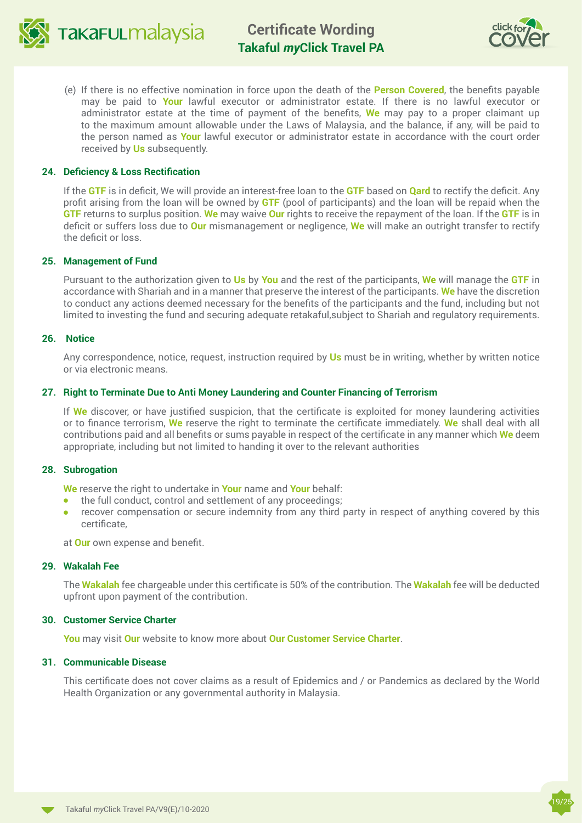



(e) If there is no effective nomination in force upon the death of the **Person Covered**, the benefits payable may be paid to **Your** lawful executor or administrator estate. If there is no lawful executor or administrator estate at the time of payment of the benefits, **We** may pay to a proper claimant up to the maximum amount allowable under the Laws of Malaysia, and the balance, if any, will be paid to the person named as **Your** lawful executor or administrator estate in accordance with the court order received by **Us** subsequently.

### **24. Deficiency & Loss Rectification**

If the **GTF** is in deficit, We will provide an interest-free loan to the **GTF** based on **Qard** to rectify the deficit. Any profit arising from the loan will be owned by **GTF** (pool of participants) and the loan will be repaid when the **GTF** returns to surplus position. **We** may waive **Our** rights to receive the repayment of the loan. If the **GTF** is in deficit or suffers loss due to **Our** mismanagement or negligence, **We** will make an outright transfer to rectify the deficit or loss.

#### **25. Management of Fund**

Pursuant to the authorization given to **Us** by **You** and the rest of the participants, **We** will manage the **GTF** in accordance with Shariah and in a manner that preserve the interest of the participants. **We** have the discretion to conduct any actions deemed necessary for the benefits of the participants and the fund, including but not limited to investing the fund and securing adequate retakaful,subject to Shariah and regulatory requirements.

#### **26. Notice**

Any correspondence, notice, request, instruction required by **Us** must be in writing, whether by written notice or via electronic means.

#### **27. Right to Terminate Due to Anti Money Laundering and Counter Financing of Terrorism**

If **We** discover, or have justified suspicion, that the certificate is exploited for money laundering activities or to finance terrorism, **We** reserve the right to terminate the certificate immediately. **We** shall deal with all contributions paid and all benefits or sums payable in respect of the certificate in any manner which **We** deem appropriate, including but not limited to handing it over to the relevant authorities

#### **28. Subrogation**

**We** reserve the right to undertake in **Your** name and **Your** behalf:

- $\bullet$  the full conduct, control and settlement of any proceedings;
- **•** recover compensation or secure indemnity from any third party in respect of anything covered by this certificate,

at **Our** own expense and benefit.

#### **29. Wakalah Fee**

The **Wakalah** fee chargeable under this certificate is 50% of the contribution. The **Wakalah** fee will be deducted upfront upon payment of the contribution.

#### **30. Customer Service Charter**

**You** may visit **Our** website to know more about **Our [Customer Service Charter](https://www.takaful-malaysia.com.my/footer/Pages/regulatorycompliance.aspx)**.

## **31. Communicable Disease**

This certificate does not cover claims as a result of Epidemics and / or Pandemics as declared by the World Health Organization or any governmental authority in Malaysia.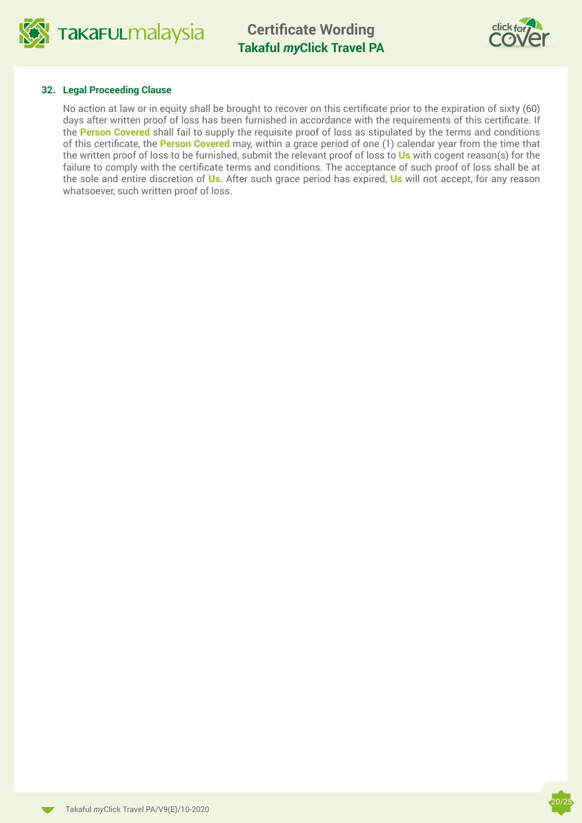

**Certificate Wording Takaful** *my***Click Travel PA**



#### **32. Legal Proceeding Clause**

No action at law or in equity shall be brought to recover on this certificate prior to the expiration of sixty (60) days after written proof of loss has been furnished in accordance with the requirements of this certificate. If the **Person Covered** shall fail to supply the requisite proof of loss as stipulated by the terms and conditions of this certificate, the **Person Covered** may, within a grace period of one (1) calendar year from the time that the written proof of loss to be furnished, submit the relevant proof of loss to **Us** with cogent reason(s) for the failure to comply with the certificate terms and conditions. The acceptance of such proof of loss shall be at the sole and entire discretion of **Us**. After such grace period has expired, **Us** will not accept, for any reason whatsoever, such written proof of loss.

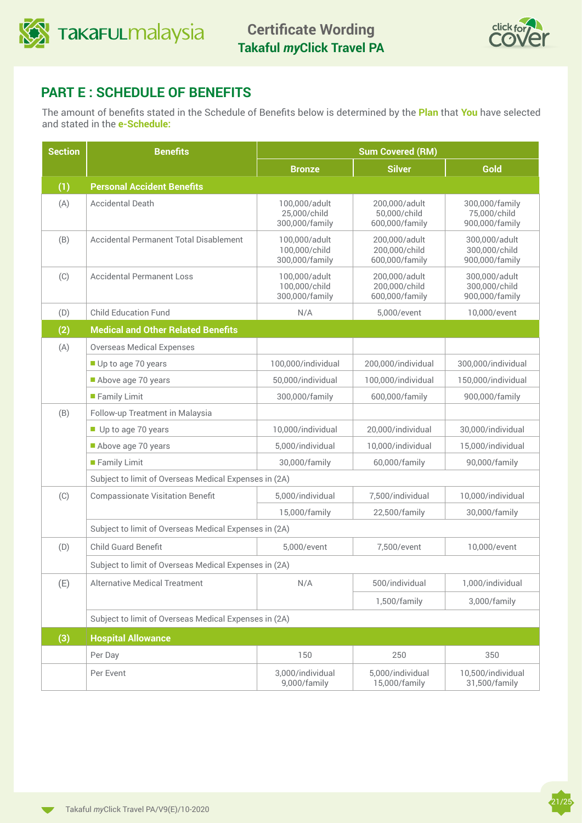



## **PART E : SCHEDULE OF BENEFITS**

The amount of benefits stated in the Schedule of Benefits below is determined by the **Plan** that **You** have selected and stated in the **e-Schedule:**

| <b>Section</b> | <b>Benefits</b>                                       | <b>Sum Covered (RM)</b>                          |                                                  |                                                  |
|----------------|-------------------------------------------------------|--------------------------------------------------|--------------------------------------------------|--------------------------------------------------|
|                |                                                       | <b>Bronze</b>                                    | <b>Silver</b>                                    | Gold                                             |
| (1)            | <b>Personal Accident Benefits</b>                     |                                                  |                                                  |                                                  |
| (A)            | <b>Accidental Death</b>                               | 100,000/adult<br>25,000/child<br>300,000/family  | 200,000/adult<br>50,000/child<br>600,000/family  | 300,000/family<br>75,000/child<br>900,000/family |
| (B)            | <b>Accidental Permanent Total Disablement</b>         | 100,000/adult<br>100,000/child<br>300,000/family | 200,000/adult<br>200,000/child<br>600,000/family | 300,000/adult<br>300,000/child<br>900,000/family |
| (C)            | <b>Accidental Permanent Loss</b>                      | 100,000/adult<br>100,000/child<br>300,000/family | 200,000/adult<br>200,000/child<br>600,000/family | 300,000/adult<br>300,000/child<br>900,000/family |
| (D)            | <b>Child Education Fund</b>                           | N/A                                              | 5,000/event                                      | 10,000/event                                     |
| (2)            | <b>Medical and Other Related Benefits</b>             |                                                  |                                                  |                                                  |
| (A)            | <b>Overseas Medical Expenses</b>                      |                                                  |                                                  |                                                  |
|                | Up to age 70 years                                    | 100,000/individual                               | 200,000/individual                               | 300,000/individual                               |
|                | Above age 70 years                                    | 50,000/individual                                | 100,000/individual                               | 150,000/individual                               |
|                | Family Limit                                          | 300,000/family                                   | 600,000/family                                   | 900,000/family                                   |
| (B)            | Follow-up Treatment in Malaysia                       |                                                  |                                                  |                                                  |
|                | Up to age 70 years                                    | 10,000/individual                                | 20,000/individual                                | 30,000/individual                                |
|                | Above age 70 years                                    | 5,000/individual                                 | 10,000/individual                                | 15,000/individual                                |
|                | Family Limit                                          | 30,000/family                                    | 60,000/family                                    | 90,000/family                                    |
|                | Subject to limit of Overseas Medical Expenses in (2A) |                                                  |                                                  |                                                  |
| (C)            | <b>Compassionate Visitation Benefit</b>               | 5,000/individual                                 | 7,500/individual                                 | 10,000/individual                                |
|                |                                                       | 15,000/family                                    | 22,500/family                                    | 30,000/family                                    |
|                | Subject to limit of Overseas Medical Expenses in (2A) |                                                  |                                                  |                                                  |
| (D)            | <b>Child Guard Benefit</b>                            | 5,000/event                                      | 7,500/event                                      | 10,000/event                                     |
|                | Subject to limit of Overseas Medical Expenses in (2A) |                                                  |                                                  |                                                  |
| (E)            | <b>Alternative Medical Treatment</b>                  | N/A                                              | 500/individual                                   | 1,000/individual                                 |
|                |                                                       |                                                  | 1,500/family                                     | 3,000/family                                     |
|                | Subject to limit of Overseas Medical Expenses in (2A) |                                                  |                                                  |                                                  |
| (3)            | <b>Hospital Allowance</b>                             |                                                  |                                                  |                                                  |
|                | Per Day                                               | 150                                              | 250                                              | 350                                              |
|                | Per Event                                             | 3,000/individual<br>9,000/family                 | 5,000/individual<br>15,000/family                | 10,500/individual<br>31,500/family               |

 $\blacksquare$ 

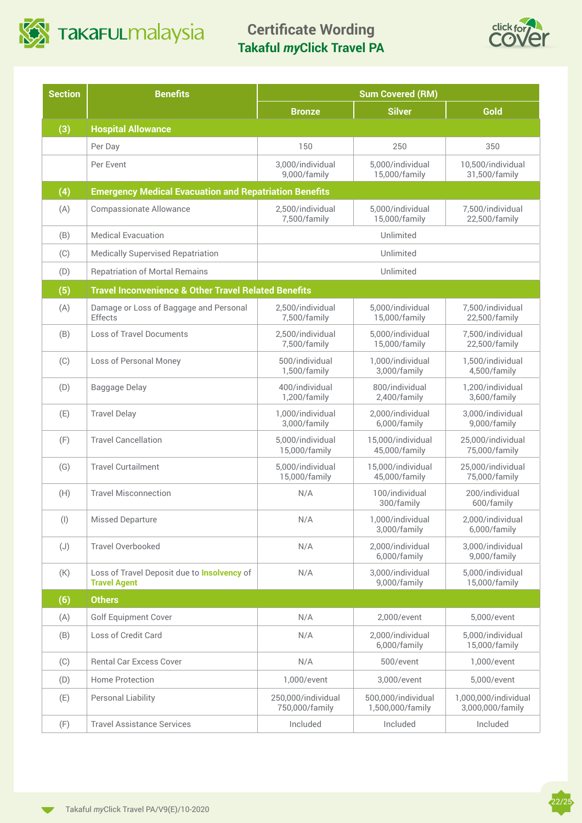

**Certificate Wording Takaful** *my***Click Travel PA**



22/25

| <b>Section</b> | <b>Benefits</b>                                                           |                                      | <b>Sum Covered (RM)</b>                |                                          |
|----------------|---------------------------------------------------------------------------|--------------------------------------|----------------------------------------|------------------------------------------|
|                |                                                                           | <b>Bronze</b>                        | <b>Silver</b>                          | Gold                                     |
| (3)            | <b>Hospital Allowance</b>                                                 |                                      |                                        |                                          |
|                | Per Day                                                                   | 150                                  | 250                                    | 350                                      |
|                | Per Event                                                                 | 3,000/individual<br>9,000/family     | 5,000/individual<br>15,000/family      | 10,500/individual<br>31,500/family       |
| (4)            | <b>Emergency Medical Evacuation and Repatriation Benefits</b>             |                                      |                                        |                                          |
| (A)            | <b>Compassionate Allowance</b>                                            | 2,500/individual<br>7,500/family     | 5,000/individual<br>15,000/family      | 7,500/individual<br>22,500/family        |
| (B)            | <b>Medical Evacuation</b>                                                 |                                      | Unlimited                              |                                          |
| (C)            | <b>Medically Supervised Repatriation</b>                                  |                                      | Unlimited                              |                                          |
| (D)            | <b>Repatriation of Mortal Remains</b>                                     |                                      | Unlimited                              |                                          |
| (5)            | <b>Travel Inconvenience &amp; Other Travel Related Benefits</b>           |                                      |                                        |                                          |
| (A)            | Damage or Loss of Baggage and Personal<br>Effects                         | 2,500/individual<br>7,500/family     | 5,000/individual<br>15,000/family      | 7,500/individual<br>22,500/family        |
| (B)            | Loss of Travel Documents                                                  | 2,500/individual<br>7,500/family     | 5,000/individual<br>15,000/family      | 7,500/individual<br>22,500/family        |
| (C)            | Loss of Personal Money                                                    | 500/individual<br>1,500/family       | 1,000/individual<br>3,000/family       | 1,500/individual<br>4,500/family         |
| (D)            | Baggage Delay                                                             | 400/individual<br>1,200/family       | 800/individual<br>2,400/family         | 1,200/individual<br>3,600/family         |
| (E)            | <b>Travel Delay</b>                                                       | 1,000/individual<br>3,000/family     | 2,000/individual<br>6,000/family       | 3,000/individual<br>9,000/family         |
| (F)            | <b>Travel Cancellation</b>                                                | 5,000/individual<br>15,000/family    | 15,000/individual<br>45,000/family     | 25,000/individual<br>75,000/family       |
| (G)            | <b>Travel Curtailment</b>                                                 | 5,000/individual<br>15,000/family    | 15,000/individual<br>45,000/family     | 25,000/individual<br>75,000/family       |
| (H)            | <b>Travel Misconnection</b>                                               | N/A                                  | 100/individual<br>300/family           | 200/individual<br>600/family             |
| $($ l $)$      | <b>Missed Departure</b>                                                   | N/A                                  | 1,000/individual<br>3,000/family       | 2,000/individual<br>6,000/family         |
| (J)            | <b>Travel Overbooked</b>                                                  | N/A                                  | 2,000/individual<br>6,000/family       | 3,000/individual<br>9,000/family         |
| (K)            | Loss of Travel Deposit due to <b>Insolvency</b> of<br><b>Travel Agent</b> | N/A                                  | 3,000/individual<br>9,000/family       | 5,000/individual<br>15,000/family        |
| (6)            | <b>Others</b>                                                             |                                      |                                        |                                          |
| (A)            | <b>Golf Equipment Cover</b>                                               | N/A                                  | 2,000/event                            | 5,000/event                              |
| (B)            | Loss of Credit Card                                                       | N/A                                  | 2,000/individual<br>6,000/family       | 5,000/individual<br>15,000/family        |
| (C)            | <b>Rental Car Excess Cover</b>                                            | N/A                                  | 500/event                              | 1,000/event                              |
| (D)            | Home Protection                                                           | 1,000/event                          | 3,000/event                            | 5,000/event                              |
| (E)            | Personal Liability                                                        | 250,000/individual<br>750,000/family | 500,000/individual<br>1,500,000/family | 1,000,000/individual<br>3,000,000/family |
| (F)            | <b>Travel Assistance Services</b>                                         | Included                             | Included                               | Included                                 |

 $\blacktriangledown$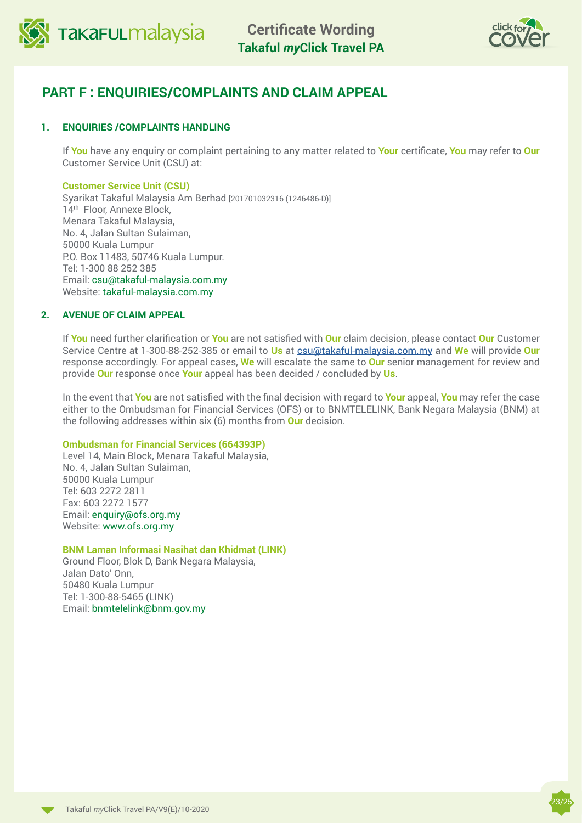



## **PART F : ENQUIRIES/COMPLAINTS AND CLAIM APPEAL**

## **1. ENQUIRIES /COMPLAINTS HANDLING**

If **You** have any enquiry or complaint pertaining to any matter related to **Your** certificate, **You** may refer to **Our** Customer Service Unit (CSU) at:

### **Customer Service Unit (CSU)**

Syarikat Takaful Malaysia Am Berhad [201701032316 (1246486-D)] 14<sup>th</sup> Floor, Annexe Block, Menara Takaful Malaysia, No. 4, Jalan Sultan Sulaiman, 50000 Kuala Lumpur P.O. Box 11483, 50746 Kuala Lumpur. Tel: 1-300 88 252 385 Email: csu@takaful-malaysia.com.my Website: takaful-malaysia.com.my

## **2. AVENUE OF CLAIM APPEAL**

If **You** need further clarification or **You** are not satisfied with **Our** claim decision, please contact **Our** Customer Service Centre at 1-300-88-252-385 or email to **Us** at [csu@takaful-malaysia.com.my](mailto:csu@takaful-malaysia.com.my) and **We** will provide **Our**  response accordingly. For appeal cases, **We** will escalate the same to **Our** senior management for review and provide **Our** response once **Your** appeal has been decided / concluded by **Us**.

In the event that **You** are not satisfied with the final decision with regard to **Your** appeal, **You** may refer the case either to the Ombudsman for Financial Services (OFS) or to BNMTELELINK, Bank Negara Malaysia (BNM) at the following addresses within six (6) months from **Our** decision.

## **Ombudsman for Financial Services (664393P)**

Level 14, Main Block, Menara Takaful Malaysia, No. 4, Jalan Sultan Sulaiman, 50000 Kuala Lumpur Tel: 603 2272 2811 Fax: 603 2272 1577 Email: [enquiry@ofs.org.my](mailto:enquiry@ofs.org.my) Website: [www.ofs.org.my](http://www.ofs.org.my )

## **BNM Laman Informasi Nasihat dan Khidmat (LINK)**

Ground Floor, Blok D, Bank Negara Malaysia, Jalan Dato' Onn, 50480 Kuala Lumpur Tel: 1-300-88-5465 (LINK) Email: bnmtelelink@bnm.gov.my

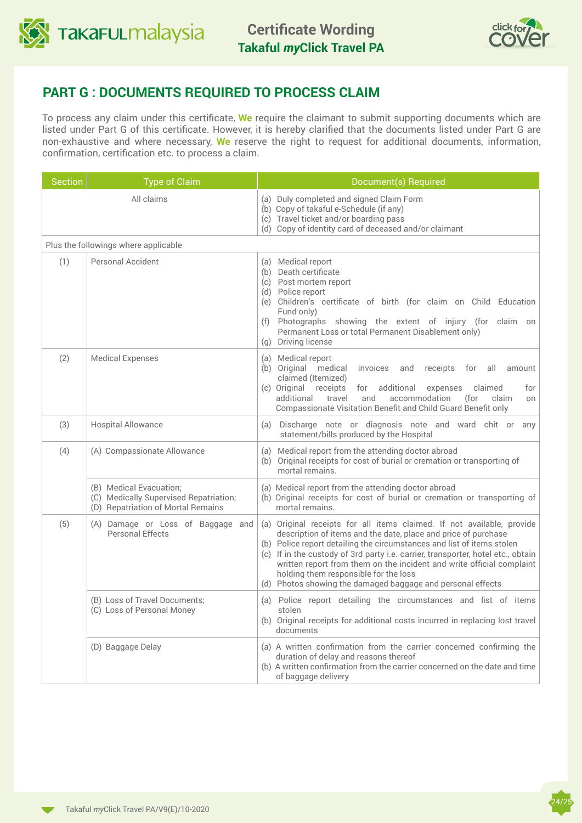



## **PART G : DOCUMENTS REQUIRED TO PROCESS CLAIM**

To process any claim under this certificate, **We** require the claimant to submit supporting documents which are listed under Part G of this certificate. However, it is hereby clarified that the documents listed under Part G are non-exhaustive and where necessary, **We** reserve the right to request for additional documents, information, confirmation, certification etc. to process a claim.

| <b>Section</b> | <b>Type of Claim</b>                                                                                    | Document(s) Required                                                                                                                                                                                                                                                                                                                                                                                                                                                                    |
|----------------|---------------------------------------------------------------------------------------------------------|-----------------------------------------------------------------------------------------------------------------------------------------------------------------------------------------------------------------------------------------------------------------------------------------------------------------------------------------------------------------------------------------------------------------------------------------------------------------------------------------|
| All claims     |                                                                                                         | (a) Duly completed and signed Claim Form<br>(b) Copy of takaful e-Schedule (if any)<br>(c) Travel ticket and/or boarding pass<br>(d) Copy of identity card of deceased and/or claimant                                                                                                                                                                                                                                                                                                  |
|                | Plus the followings where applicable                                                                    |                                                                                                                                                                                                                                                                                                                                                                                                                                                                                         |
| (1)            | Personal Accident                                                                                       | (a) Medical report<br>(b) Death certificate<br>(c) Post mortem report<br>(d) Police report<br>(e) Children's certificate of birth (for claim on Child Education<br>Fund only)<br>Photographs showing the extent of injury (for claim on<br>(f)<br>Permanent Loss or total Permanent Disablement only)<br>(g) Driving license                                                                                                                                                            |
| (2)            | <b>Medical Expenses</b>                                                                                 | (a) Medical report<br>(b) Original medical<br>invoices<br>receipts<br>all<br>and<br>for<br>amount<br>claimed (Itemized)<br>(c) Original receipts<br>additional<br>for<br>expenses<br>claimed<br>for<br>additional<br>accommodation<br>travel<br>and<br>(for<br>claim<br>on<br>Compassionate Visitation Benefit and Child Guard Benefit only                                                                                                                                             |
| (3)            | <b>Hospital Allowance</b>                                                                               | Discharge note or diagnosis note and ward chit or any<br>(a)<br>statement/bills produced by the Hospital                                                                                                                                                                                                                                                                                                                                                                                |
| (4)            | (A) Compassionate Allowance                                                                             | (a) Medical report from the attending doctor abroad<br>(b) Original receipts for cost of burial or cremation or transporting of<br>mortal remains.                                                                                                                                                                                                                                                                                                                                      |
|                | (B) Medical Evacuation;<br>(C) Medically Supervised Repatriation;<br>(D) Repatriation of Mortal Remains | (a) Medical report from the attending doctor abroad<br>(b) Original receipts for cost of burial or cremation or transporting of<br>mortal remains.                                                                                                                                                                                                                                                                                                                                      |
| (5)            | (A) Damage or Loss of Baggage and<br><b>Personal Effects</b>                                            | (a) Original receipts for all items claimed. If not available, provide<br>description of items and the date, place and price of purchase<br>(b) Police report detailing the circumstances and list of items stolen<br>(c) If in the custody of 3rd party i.e. carrier, transporter, hotel etc., obtain<br>written report from them on the incident and write official complaint<br>holding them responsible for the loss<br>(d) Photos showing the damaged baggage and personal effects |
|                | (B) Loss of Travel Documents;<br>(C) Loss of Personal Money                                             | (a) Police report detailing the circumstances and list of items<br>stolen<br>(b) Original receipts for additional costs incurred in replacing lost travel<br>documents                                                                                                                                                                                                                                                                                                                  |
|                | (D) Baggage Delay                                                                                       | (a) A written confirmation from the carrier concerned confirming the<br>duration of delay and reasons thereof<br>(b) A written confirmation from the carrier concerned on the date and time<br>of baggage delivery                                                                                                                                                                                                                                                                      |